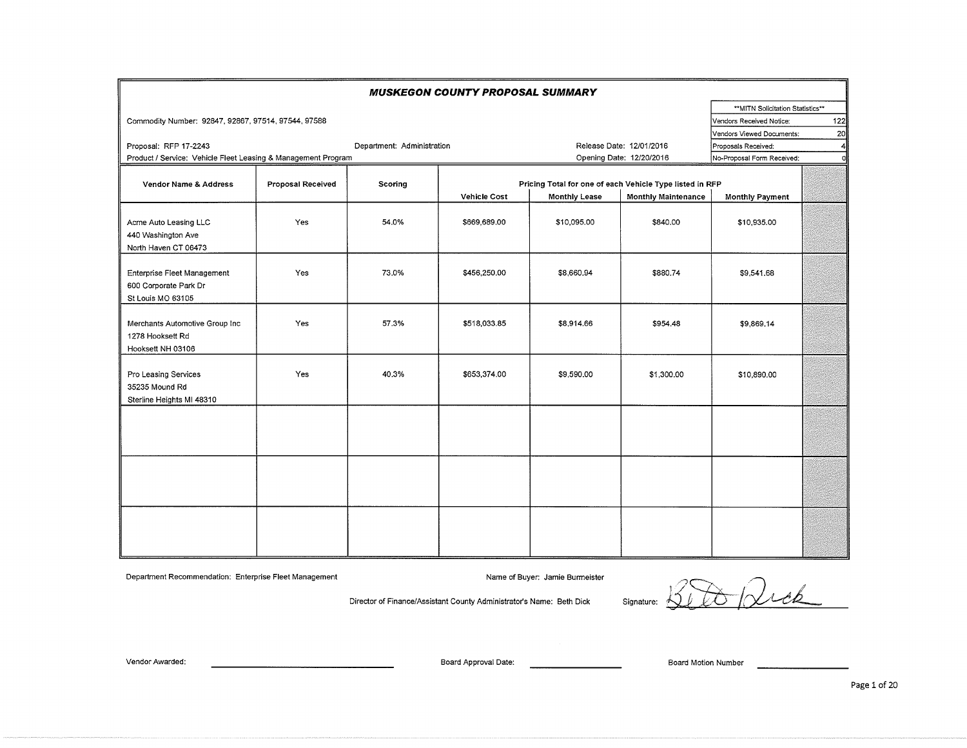|                                                                           |                   |                            | <b>MUSKEGON COUNTY PROPOSAL SUMMARY</b> |                                                          |                            |                                  |                |
|---------------------------------------------------------------------------|-------------------|----------------------------|-----------------------------------------|----------------------------------------------------------|----------------------------|----------------------------------|----------------|
|                                                                           |                   |                            |                                         |                                                          |                            | **MITN Solicitation Statistics** |                |
| Commodity Number: 92847, 92867, 97514, 97544, 97588                       |                   |                            |                                         |                                                          |                            | Vendors Received Notice:         | 122            |
|                                                                           |                   |                            |                                         |                                                          |                            | Vendors Viewed Documents:        | 20             |
| Proposal: RFP 17-2243                                                     |                   | Department: Administration |                                         |                                                          | Release Date: 12/01/2016   | Proposals Received:              | $\overline{4}$ |
| Product / Service: Vehicle Fleet Leasing & Management Program             |                   |                            |                                         |                                                          | Opening Date: 12/20/2016   | No-Proposal Form Received:       | d              |
| Vendor Name & Address                                                     | Proposal Received | Scoring                    |                                         | Pricing Total for one of each Vehicle Type listed in RFP |                            |                                  |                |
|                                                                           |                   |                            | <b>Vehicle Cost</b>                     | <b>Monthly Lease</b>                                     | <b>Monthly Maintenance</b> | <b>Monthly Payment</b>           |                |
| Acme Auto Leasing LLC<br>440 Washington Ave<br>North Haven CT 06473       | Yes               | 54.0%                      | \$669,689.00                            | \$10,095.00                                              | \$840,00                   | \$10,935.00                      |                |
| Enterprise Fleet Management<br>600 Corporate Park Dr<br>St Louis MO 63105 | <b>Yes</b>        | 73.0%                      | \$456,250.00                            | \$8,660.94                                               | \$880.74                   | \$9,541.68                       |                |
| Merchants Automotive Group Inc<br>1278 Hooksett Rd<br>Hooksett NH 03106   | Yes               | 57.3%                      | \$518,033.85                            | \$8,914.66                                               | \$954.48                   | \$9,869.14                       |                |
| Pro Leasing Services<br>35235 Mound Rd<br>Sterline Heights MI 48310       | Yes               | 40.3%                      | \$653,374.00                            | \$9,590.00                                               | \$1,300.00                 | \$10,890.00                      |                |
|                                                                           |                   |                            |                                         |                                                          |                            |                                  |                |
|                                                                           |                   |                            |                                         |                                                          |                            |                                  |                |
|                                                                           |                   |                            |                                         |                                                          |                            |                                  |                |

Department Recommendation: Enterprise Fleet Management

Name of Buyer: Jamie Burmeister

Name or Buyer: Jame Burmelster<br>Director of Finance/Assistant County Administrator's Name: Beth Dick Signature:  $\widetilde{\mathcal{Q}}$ 

Vendor Awarded: Board Approval Date: Board Motion Number

Page 1 of 20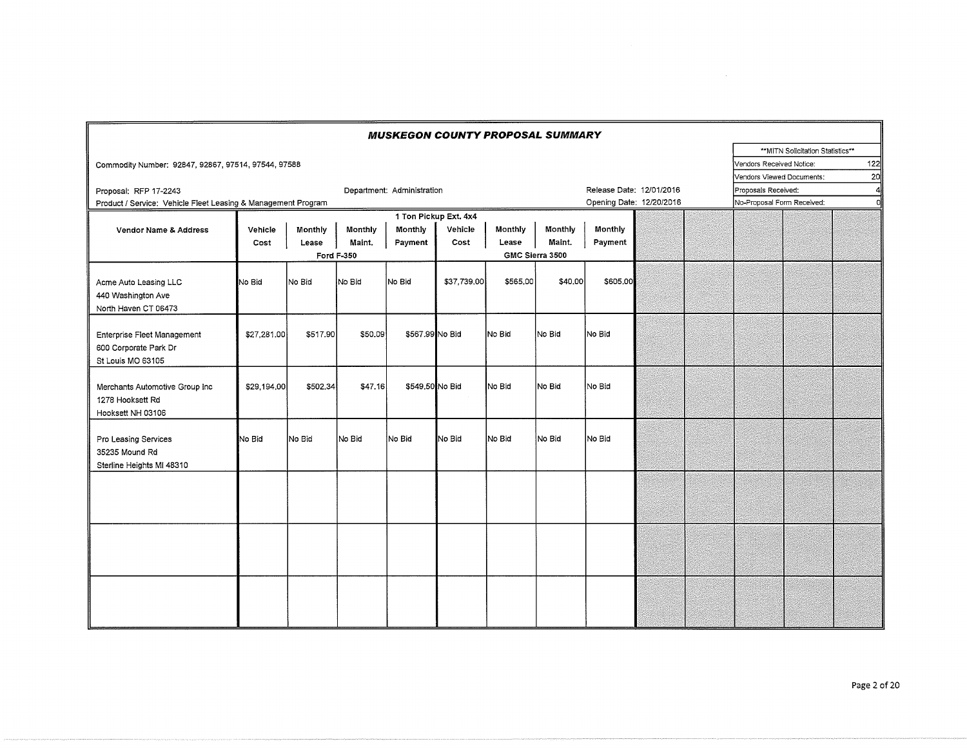|                                                                           |             |          |                   |                            |                       | <b>MUSKEGON COUNTY PROPOSAL SUMMARY</b> |                 |                          |  |                            |                                   |                 |
|---------------------------------------------------------------------------|-------------|----------|-------------------|----------------------------|-----------------------|-----------------------------------------|-----------------|--------------------------|--|----------------------------|-----------------------------------|-----------------|
|                                                                           |             |          |                   |                            |                       |                                         |                 |                          |  |                            | ** MITN Solicitation Statistics** |                 |
| Commodity Number: 92847, 92867, 97514, 97544, 97588                       |             |          |                   |                            |                       |                                         |                 |                          |  | Vendors Received Notice:   |                                   | 122             |
|                                                                           |             |          |                   |                            |                       |                                         |                 |                          |  | Vendors Viewed Documents:  |                                   | 20 <sup>1</sup> |
| Proposal: RFP 17-2243                                                     |             |          |                   | Department: Administration |                       |                                         |                 | Release Date: 12/01/2016 |  | Proposals Received:        |                                   | 4               |
| Product / Service: Vehicle Fleet Leasing & Management Program             |             |          |                   |                            |                       |                                         |                 | Opening Date: 12/20/2016 |  | No-Proposal Form Received: |                                   | oll             |
|                                                                           |             |          |                   |                            | 1 Ton Pickup Ext. 4x4 |                                         |                 |                          |  |                            |                                   |                 |
| Vendor Name & Address                                                     | Vehicle     | Monthly  | Monthly           | Monthly                    | Vehicle               | Monthly                                 | Monthly         | Monthly                  |  |                            |                                   |                 |
|                                                                           | Cost        | Lease    | Maint.            | Payment                    | Cost                  | Lease                                   | Maint.          | Payment                  |  |                            |                                   |                 |
|                                                                           |             |          | <b>Ford F-350</b> |                            |                       |                                         | GMC Sierra 3500 |                          |  |                            |                                   |                 |
| Acme Auto Leasing LLC<br>440 Washington Ave<br>North Haven CT 06473       | No Bid      | No Bid   | No Bid            | No Bid                     | \$37,739,00           | \$565,00                                | \$40.00         | \$605,00                 |  |                            |                                   |                 |
| Enterprise Fleet Management<br>600 Corporate Park Dr<br>St Louis MO 63105 | \$27,281.00 | \$517.90 | \$50,09           | \$567,99 No Bid            |                       | No Bid                                  | No Bid          | No Bid                   |  |                            |                                   |                 |
| Merchants Automotive Group Inc<br>1278 Hooksett Rd<br>Hooksett NH 03106   | \$29,194.00 | \$502.34 | \$47.16           | \$549,50 No Bid            |                       | No Bid                                  | No Bid          | No Bid                   |  |                            |                                   |                 |
| Pro Leasing Services<br>35235 Mound Rd<br>Sterline Heights MI 48310       | No Bid      | No Bid   | No Bid            | No Bid                     | No Bid                | No Bid                                  | No Bid          | INo Bid                  |  |                            |                                   |                 |
|                                                                           |             |          |                   |                            |                       |                                         |                 |                          |  |                            |                                   |                 |
|                                                                           |             |          |                   |                            |                       |                                         |                 |                          |  |                            |                                   |                 |
|                                                                           |             |          |                   |                            |                       |                                         |                 |                          |  |                            |                                   |                 |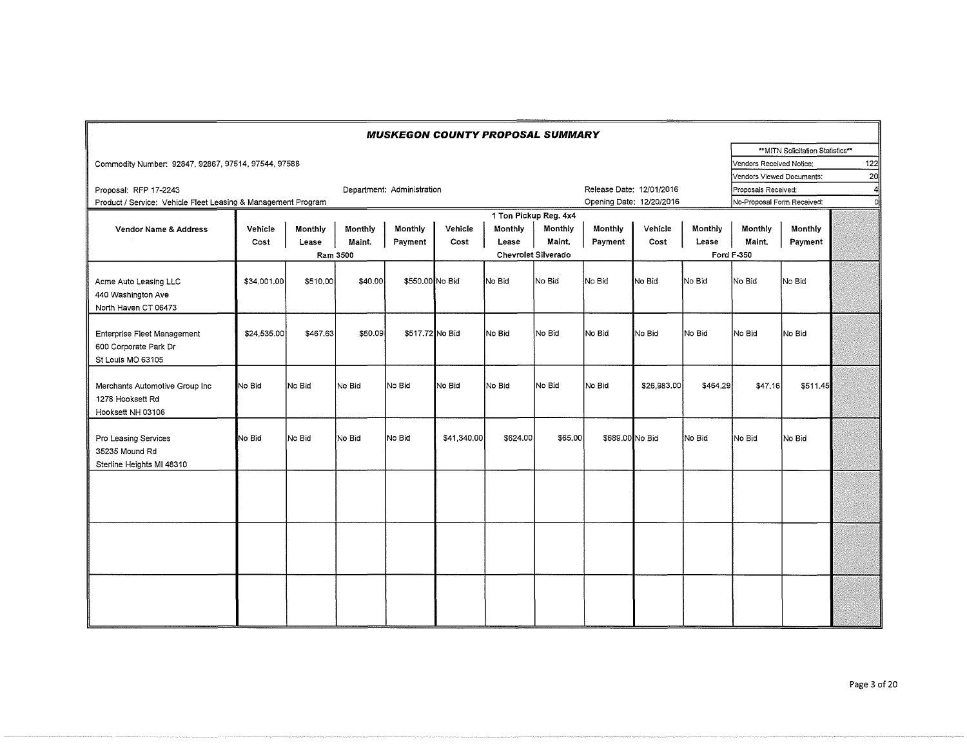|                                                                           |             |          |          | <b>MUSKEGON COUNTY PROPOSAL SUMMARY</b> |             |          |                            |                          |             |          |                            |                                   |                 |
|---------------------------------------------------------------------------|-------------|----------|----------|-----------------------------------------|-------------|----------|----------------------------|--------------------------|-------------|----------|----------------------------|-----------------------------------|-----------------|
|                                                                           |             |          |          |                                         |             |          |                            |                          |             |          |                            | ** MITN Solicitation Statistics** |                 |
| Commodity Number: 92847, 92867, 97514, 97544, 97588                       |             |          |          |                                         |             |          |                            |                          |             |          | Vendors Received Notice:   |                                   | 122             |
|                                                                           |             |          |          |                                         |             |          |                            |                          |             |          | Vendors Viewed Documents:  |                                   | 20 <sub>1</sub> |
| Proposal: RFP 17-2243                                                     |             |          |          | Department: Administration              |             |          |                            | Release Date: 12/01/2016 |             |          | Proposals Received:        |                                   | 41              |
| Product / Service: Vehicle Fleet Leasing & Management Program             |             |          |          |                                         |             |          |                            | Opening Date: 12/20/2016 |             |          | No-Proposal Form Received: |                                   | ol              |
|                                                                           |             |          |          |                                         |             |          | 1 Ton Pickup Reg. 4x4      |                          |             |          |                            |                                   |                 |
| Vendor Name & Address                                                     | Vehicle     | Monthly  | Monthly  | Monthly                                 | Vehicle     | Monthly  | Monthly                    | Monthly                  | Vehicle     | Monthly  | Monthly                    | Monthly                           |                 |
|                                                                           | Cost        | Lease    | Maint.   | Payment                                 | Cost        | Lease    | Maint.                     | Payment                  | Cost        | Lease    | Maint.                     | Payment                           |                 |
|                                                                           |             |          | Ram 3500 |                                         |             |          | <b>Chevrolet Silverado</b> |                          |             |          | <b>Ford F-350</b>          |                                   |                 |
| Acme Auto Leasing LLC<br>440 Washington Ave<br>North Haven CT 06473       | \$34,001.00 | \$510,00 | \$40,00  | \$550,00 No Bid                         |             | No Bid   | No Bid                     | No Bid                   | No Bid      | No Bid   | No Bid                     | No Bid                            |                 |
| Enterprise Fleet Management<br>600 Corporate Park Dr<br>St Louis MO 63105 | \$24,535.00 | \$467.63 | \$50.09  | \$517,72 No Bid                         |             | No Bid   | No Bid                     | No Bid                   | No Bid      | No Bid   | No Bid                     | No Bid                            |                 |
| Merchants Automotive Group Inc<br>1278 Hooksett Rd<br>Hooksett NH 03106   | No Bid      | No Bid   | No Bid   | No Bid                                  | No Bid      | No Bid   | lNo Bid                    | No Bid                   | \$26,983.00 | \$464.29 | \$47.16                    | \$511.45                          |                 |
| Pro Leasing Services<br>35235 Mound Rd<br>Sterline Heights MI 48310       | No Bid      | No Bid   | No Bid   | No Bid                                  | \$41,340.00 | \$624.00 | \$65.00                    | \$689.00 No Bid          |             | No Bid   | No Bid                     | No Bid                            |                 |
|                                                                           |             |          |          |                                         |             |          |                            |                          |             |          |                            |                                   |                 |
|                                                                           |             |          |          |                                         |             |          |                            |                          |             |          |                            |                                   |                 |
|                                                                           |             |          |          |                                         |             |          |                            |                          |             |          |                            |                                   |                 |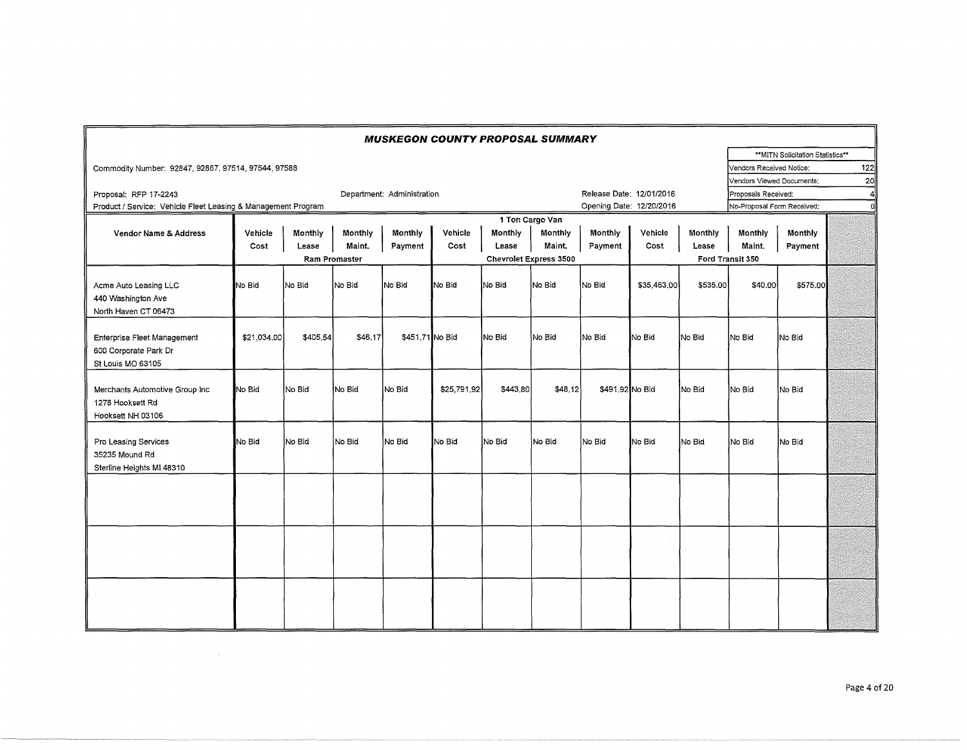|                                                               |             |          |               | <b>MUSKEGON COUNTY PROPOSAL SUMMARY</b> |             |          |                        |                          |             |                |                            |                                  |     |
|---------------------------------------------------------------|-------------|----------|---------------|-----------------------------------------|-------------|----------|------------------------|--------------------------|-------------|----------------|----------------------------|----------------------------------|-----|
|                                                               |             |          |               |                                         |             |          |                        |                          |             |                |                            | **MITN Solicitation Statistics** |     |
| Commodity Number: 92847, 92867, 97514, 97544, 97588           |             |          |               |                                         |             |          |                        |                          |             |                | Vendors Received Notice:   |                                  | 122 |
|                                                               |             |          |               |                                         |             |          |                        |                          |             |                | Vendors Viewed Documents:  |                                  | 20  |
| Proposal: RFP 17-2243                                         |             |          |               | Department: Administration              |             |          |                        | Release Date: 12/01/2016 |             |                | Proposals Received:        |                                  | 4   |
| Product / Service: Vehicle Fleet Leasing & Management Program |             |          |               |                                         |             |          |                        | Opening Date: 12/20/2016 |             |                | No-Proposal Form Received: |                                  | σİ  |
|                                                               |             |          |               |                                         |             |          | 1 Ton Cargo Van        |                          |             |                |                            |                                  |     |
| <b>Vendor Name &amp; Address</b>                              | Vehicle     | Monthly  | Monthly       | Monthly                                 | Vehicle     | Monthly  | Monthly                | Monthly                  | Vehicle     | <b>Monthly</b> | Monthly                    | Monthly                          |     |
|                                                               | Cost        | Lease    | Maint.        | Payment                                 | Cost        | Lease    | Maint.                 | Payment                  | Cost        | Lease          | Maint.                     | Payment                          |     |
|                                                               |             |          | Ram Promaster |                                         |             |          | Chevrolet Express 3500 |                          |             |                | Ford Transit 350           |                                  |     |
|                                                               |             |          |               |                                         |             |          |                        |                          |             |                |                            |                                  |     |
| Acme Auto Leasing LLC                                         | No Bid      | No Bid   | No Bid        | No Bid                                  | No Bid      | No Bid   | lNo Bid                | No Bid                   | \$35,463,00 | \$535,00       | \$40,00                    | \$575.00                         |     |
| 440 Washington Ave                                            |             |          |               |                                         |             |          |                        |                          |             |                |                            |                                  |     |
| North Haven CT 06473                                          |             |          |               |                                         |             |          |                        |                          |             |                |                            |                                  |     |
|                                                               |             |          |               |                                         |             |          |                        |                          |             |                |                            |                                  |     |
| Enterprise Fleet Management                                   | \$21,034,00 | \$405,54 | \$46,17       | \$451.71 No Bid                         |             | INo Bid  | No Bid                 | No Bid                   | No Bid      | No Bid         | INo Bid                    | No Bid                           |     |
| 600 Corporate Park Dr                                         |             |          |               |                                         |             |          |                        |                          |             |                |                            |                                  |     |
| St Louis MO 63105                                             |             |          |               |                                         |             |          |                        |                          |             |                |                            |                                  |     |
|                                                               |             |          |               |                                         |             |          |                        |                          |             |                |                            |                                  |     |
| Merchants Automotive Group Inc                                | No Bid      | No Bid   | No Bid        | No Bid                                  | \$25,791,92 | \$443,80 | \$48,12]               | \$491,92 No Bid          |             | No Bid         | No Bid                     | No Bid                           |     |
| 1278 Hooksett Rd                                              |             |          |               |                                         |             |          |                        |                          |             |                |                            |                                  |     |
| Hooksett NH 03106                                             |             |          |               |                                         |             |          |                        |                          |             |                |                            |                                  |     |
|                                                               |             |          |               |                                         |             |          |                        |                          |             |                |                            |                                  |     |
| Pro Leasing Services                                          | No Bid      | No Bid   | No Bid        | No Bid                                  | No Bid      | No Bid   | No Bid                 | No Bid                   | No Bid      | No Bid         | No Bid                     | No Bid                           |     |
| 35235 Mound Rd                                                |             |          |               |                                         |             |          |                        |                          |             |                |                            |                                  |     |
| Sterline Heights MI 48310                                     |             |          |               |                                         |             |          |                        |                          |             |                |                            |                                  |     |
|                                                               |             |          |               |                                         |             |          |                        |                          |             |                |                            |                                  |     |
|                                                               |             |          |               |                                         |             |          |                        |                          |             |                |                            |                                  |     |
|                                                               |             |          |               |                                         |             |          |                        |                          |             |                |                            |                                  |     |
|                                                               |             |          |               |                                         |             |          |                        |                          |             |                |                            |                                  |     |
|                                                               |             |          |               |                                         |             |          |                        |                          |             |                |                            |                                  |     |
|                                                               |             |          |               |                                         |             |          |                        |                          |             |                |                            |                                  |     |
|                                                               |             |          |               |                                         |             |          |                        |                          |             |                |                            |                                  |     |
|                                                               |             |          |               |                                         |             |          |                        |                          |             |                |                            |                                  |     |
|                                                               |             |          |               |                                         |             |          |                        |                          |             |                |                            |                                  |     |
|                                                               |             |          |               |                                         |             |          |                        |                          |             |                |                            |                                  |     |
|                                                               |             |          |               |                                         |             |          |                        |                          |             |                |                            |                                  |     |
|                                                               |             |          |               |                                         |             |          |                        |                          |             |                |                            |                                  |     |
|                                                               |             |          |               |                                         |             |          |                        |                          |             |                |                            |                                  |     |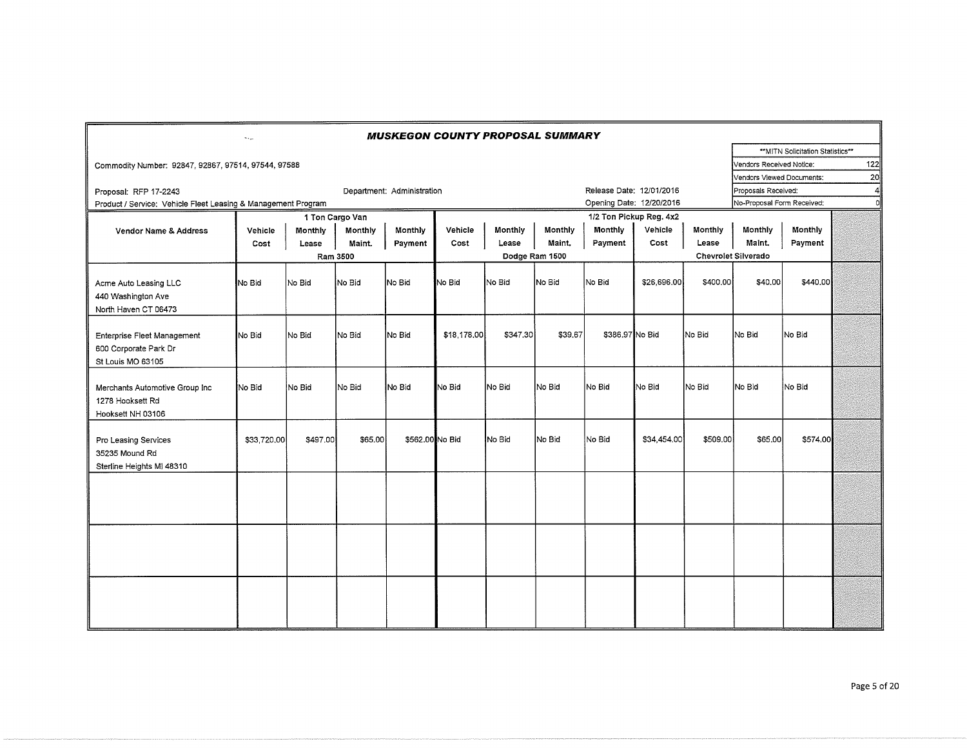|                                                                           | سيح         |          |                 |                            | <b>MUSKEGON COUNTY PROPOSAL SUMMARY</b> |          |                |                          |             |          |                            |                                  |                 |
|---------------------------------------------------------------------------|-------------|----------|-----------------|----------------------------|-----------------------------------------|----------|----------------|--------------------------|-------------|----------|----------------------------|----------------------------------|-----------------|
|                                                                           |             |          |                 |                            |                                         |          |                |                          |             |          |                            | **MITN Solicitation Statistics** |                 |
| Commodity Number: 92847, 92867, 97514, 97544, 97588                       |             |          |                 |                            |                                         |          |                |                          |             |          | Vendors Received Notice:   |                                  | 122             |
|                                                                           |             |          |                 |                            |                                         |          |                |                          |             |          | Vendors Viewed Documents:  |                                  | 20 <sup>1</sup> |
| Proposal: RFP 17-2243                                                     |             |          |                 | Department: Administration |                                         |          |                | Release Date: 12/01/2016 |             |          | Proposals Received:        |                                  | 41              |
| Product / Service: Vehicle Fleet Leasing & Management Program             |             |          |                 |                            |                                         |          |                | Opening Date: 12/20/2016 |             |          | No-Proposal Form Received: |                                  | ol              |
|                                                                           |             |          | 1 Ton Cargo Van |                            |                                         |          |                | 1/2 Ton Pickup Reg. 4x2  |             |          |                            |                                  |                 |
| <b>Vendor Name &amp; Address</b>                                          | Vehicle     | Monthly  | Monthly         | Monthly                    | Vehicle                                 | Monthly  | Monthly        | Monthly                  | Vehicle     | Monthly  | Monthly                    | Monthly                          |                 |
|                                                                           | Cost        | Lease    | Maint.          | Payment                    | Cost                                    | Lease    | Maint.         | Payment                  | Cost        | Lease    | Maint.                     | Payment                          |                 |
|                                                                           |             |          | Ram 3500        |                            |                                         |          | Dodge Ram 1500 |                          |             |          | <b>Chevrolet Silverado</b> |                                  |                 |
| Acme Auto Leasing LLC<br>440 Washington Ave<br>North Haven CT 06473       | No Bid      | No Bid   | No Bid          | No Bid                     | No Bid                                  | No Bid   | No Bid         | lNo Bid                  | \$26,696.00 | \$400,00 | \$40,00                    | \$440,00                         |                 |
| Enterprise Fleet Management<br>600 Corporate Park Dr<br>St Louis MO 63105 | No Bid      | No Bid   | No Bid          | No Bid                     | \$18,178,00                             | \$347.30 | \$39.67        | \$386.97 No Bid          |             | No Bid   | INo Bid                    | No Bid                           |                 |
| Merchants Automotive Group Inc<br>1278 Hooksett Rd<br>Hooksett NH 03106   | No Bid      | No Bid   | No Bid          | No Bid                     | No Bid                                  | No Bid   | No Bid         | No Bid                   | No Bid      | No Bid   | INo Bid                    | No Bid                           |                 |
| Pro Leasing Services<br>35235 Mound Rd<br>Sterline Heights MI 48310       | \$33,720.00 | \$497.00 | \$65.00         | \$562.00 No Bid            |                                         | No Bid   | No Bid         | No Bid                   | \$34,454.00 | \$509.00 | \$65.00                    | \$574.00                         |                 |
|                                                                           |             |          |                 |                            |                                         |          |                |                          |             |          |                            |                                  |                 |
|                                                                           |             |          |                 |                            |                                         |          |                |                          |             |          |                            |                                  |                 |
|                                                                           |             |          |                 |                            |                                         |          |                |                          |             |          |                            |                                  |                 |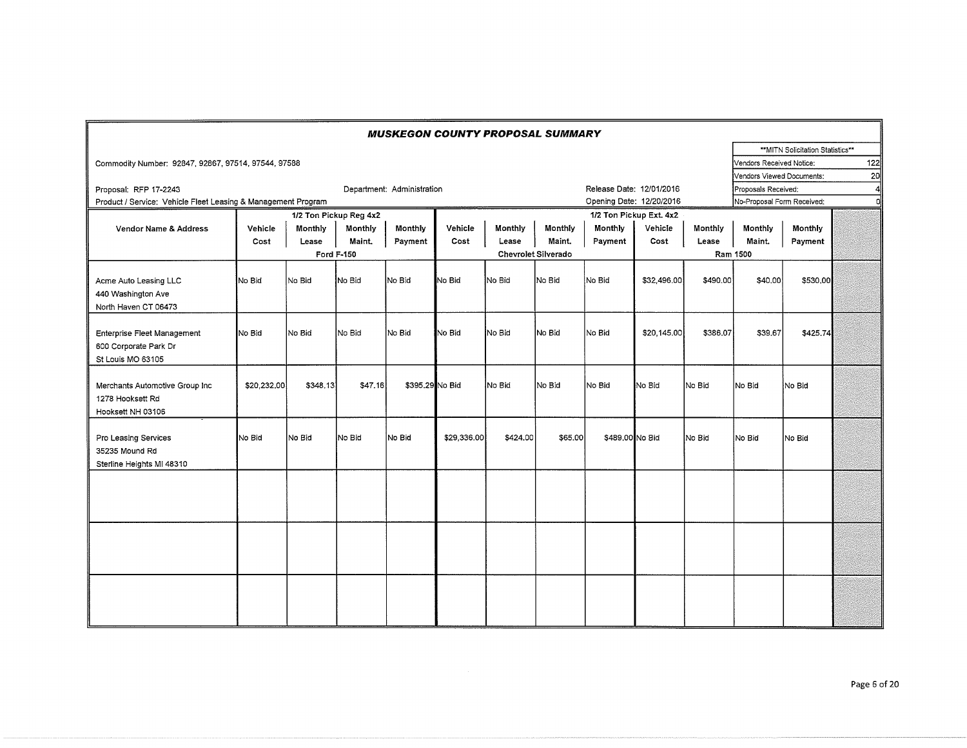|                                                                           |             |          |                        |                            | <b>MUSKEGON COUNTY PROPOSAL SUMMARY</b> |          |                     |                          |                         |          |                            |                                   |                 |
|---------------------------------------------------------------------------|-------------|----------|------------------------|----------------------------|-----------------------------------------|----------|---------------------|--------------------------|-------------------------|----------|----------------------------|-----------------------------------|-----------------|
|                                                                           |             |          |                        |                            |                                         |          |                     |                          |                         |          |                            | ** MITN Solicitation Statistics** |                 |
| Commodity Number: 92847, 92867, 97514, 97544, 97588                       |             |          |                        |                            |                                         |          |                     |                          |                         |          | Vendors Received Notice:   |                                   | 122             |
|                                                                           |             |          |                        |                            |                                         |          |                     |                          |                         |          | Vendors Viewed Documents:  |                                   | 20 <sub>l</sub> |
| Proposal: RFP 17-2243                                                     |             |          |                        | Department: Administration |                                         |          |                     | Release Date: 12/01/2016 |                         |          | Proposals Received:        |                                   | $\overline{4}$  |
| Product / Service: Vehicle Fleet Leasing & Management Program             |             |          |                        |                            |                                         |          |                     | Opening Date: 12/20/2016 |                         |          | No-Proposal Form Received: |                                   | 'n              |
|                                                                           |             |          | 1/2 Ton Pickup Reg 4x2 |                            |                                         |          |                     |                          | 1/2 Ton Pickup Ext. 4x2 |          |                            |                                   |                 |
| Vendor Name & Address                                                     | Vehicle     | Monthly  | Monthly                | Monthly                    | Vehicle                                 | Monthly  | <b>Monthly</b>      | Monthly                  | Vehicle                 | Monthly  | Monthly                    | Monthly                           |                 |
|                                                                           | Cost        | Lease    | Maint.                 | Payment                    | Cost                                    | Lease    | Maint.              | Payment                  | Cost                    | Lease    | Maint.                     | Payment                           |                 |
|                                                                           |             |          | Ford F-150             |                            |                                         |          | Chevrolet Silverado |                          |                         |          | Ram 1500                   |                                   |                 |
| Acme Auto Leasing LLC<br>440 Washington Ave<br>North Haven CT 06473       | No Bid      | No Bid   | No Bid                 | No Bid                     | No Bid                                  | No Bid   | No Bid              | No Bid                   | \$32,496,00             | \$490.00 | \$40,00                    | \$530,00                          |                 |
| Enterprise Fleet Management<br>600 Corporate Park Dr<br>St Louis MO 63105 | No Bid      | No Bid   | No Bid                 | No Bid                     | No Bid                                  | No Bid   | No Bid              | No Bid                   | \$20,145.00             | \$386.07 | \$39.67                    | \$425.74                          |                 |
| Merchants Automotive Group Inc<br>1278 Hooksett Rd<br>Hooksett NH 03106   | \$20,232,00 | \$348.13 | \$47.16                | \$395,29 No Bid            |                                         | No Bid   | No Bid              | No Bid                   | No Bid                  | No Bid   | No Bid                     | No Bid                            |                 |
| Pro Leasing Services<br>35235 Mound Rd<br>Sterline Heights MI 48310       | No Bid      | lNo Bid  | No Bid                 | No Bid                     | \$29,336,00                             | \$424.00 | \$65.00             | \$489.00 No Bid          |                         | No Bid   | No Bid                     | No Bid                            |                 |
|                                                                           |             |          |                        |                            |                                         |          |                     |                          |                         |          |                            |                                   |                 |
|                                                                           |             |          |                        |                            |                                         |          |                     |                          |                         |          |                            |                                   |                 |
|                                                                           |             |          |                        |                            |                                         |          |                     |                          |                         |          |                            |                                   |                 |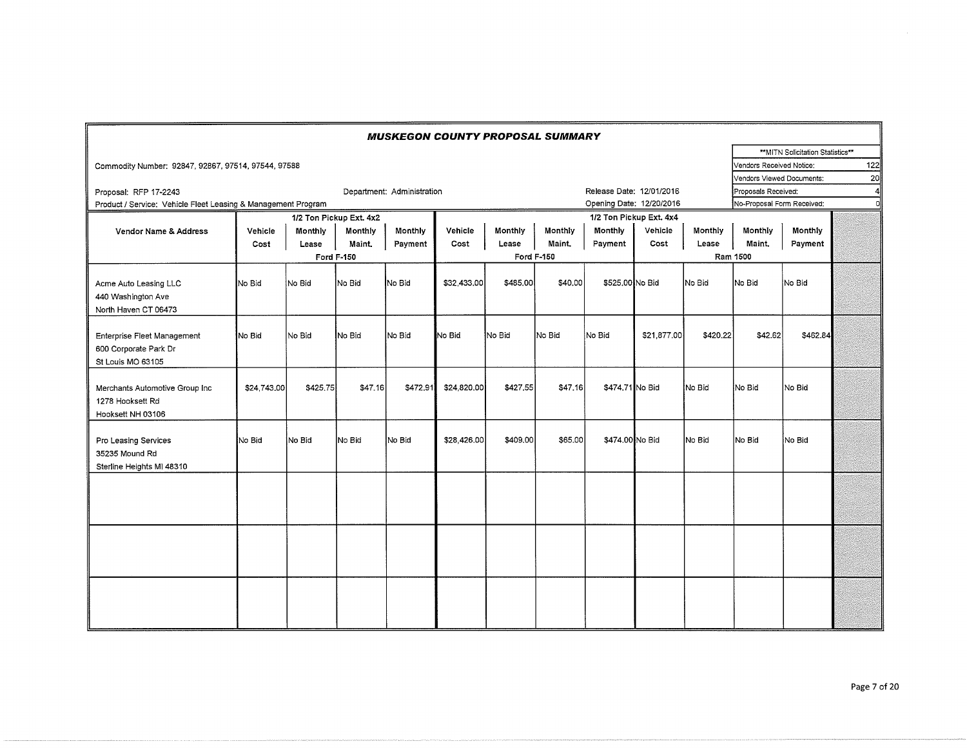|                                                                           |             |          |                         |                            | <b>MUSKEGON COUNTY PROPOSAL SUMMARY</b> |          |            |                          |                         |          |                            |                                   |     |
|---------------------------------------------------------------------------|-------------|----------|-------------------------|----------------------------|-----------------------------------------|----------|------------|--------------------------|-------------------------|----------|----------------------------|-----------------------------------|-----|
|                                                                           |             |          |                         |                            |                                         |          |            |                          |                         |          |                            | ** MITN Solicitation Statistics** |     |
| Commodity Number: 92847, 92867, 97514, 97544, 97588                       |             |          |                         |                            |                                         |          |            |                          |                         |          | Vendors Received Notice:   |                                   | 122 |
|                                                                           |             |          |                         |                            |                                         |          |            |                          |                         |          | Vendors Viewed Documents:  |                                   | 20  |
| Proposal: RFP 17-2243                                                     |             |          |                         | Department: Administration |                                         |          |            | Release Date: 12/01/2016 |                         |          | Proposals Received:        |                                   | 4   |
| Product / Service: Vehicle Fleet Leasing & Management Program             |             |          |                         |                            |                                         |          |            | Opening Date: 12/20/2016 |                         |          | No-Proposal Form Received: |                                   | nl  |
|                                                                           |             |          | 1/2 Ton Pickup Ext. 4x2 |                            |                                         |          |            |                          | 1/2 Ton Pickup Ext. 4x4 |          |                            |                                   |     |
| Vendor Name & Address                                                     | Vehicle     | Monthly  | Monthly                 | Monthly                    | Vehicle                                 | Monthly  | Monthly    | Monthly                  | Vehicle                 | Monthly  | Monthly                    | <b>Monthly</b>                    |     |
|                                                                           | Cost        | Lease    | Maint.                  | Payment                    | Cost                                    | Lease    | Maint,     | Payment                  | Cost                    | Lease    | Maint,                     | Payment                           |     |
|                                                                           |             |          | <b>Ford F-150</b>       |                            |                                         |          | Ford F-150 |                          |                         |          | Ram 1500                   |                                   |     |
| Acme Auto Leasing LLC<br>440 Washington Ave<br>North Haven CT 06473       | No Bid      | No Bid   | No Bid                  | No Bid                     | \$32,433,00                             | \$485.00 | \$40.00    | \$525,00 No Bid          |                         | No Bid   | INo Bid                    | No Bid                            |     |
| Enterprise Fleet Management<br>600 Corporate Park Dr<br>St Louis MO 63105 | No Bid      | INo Bid  | No Bid                  | No Bid                     | No Bid                                  | No Bid   | No Bid     | No Bid                   | \$21,877.00             | \$420.22 | \$42.62                    | \$462.84                          |     |
| Merchants Automotive Group Inc<br>1278 Hooksett Rd<br>Hooksett NH 03106   | \$24,743,00 | \$425,75 | \$47.16                 | \$472.91                   | \$24,820,00                             | \$427,55 | \$47,16    | \$474,71 No Bid          |                         | No Bid   | No Bid                     | No Bid                            |     |
| Pro Leasing Services<br>35235 Mound Rd<br>Sterline Heights MI 48310       | No Bid      | No Bid   | No Bid                  | No Bid                     | \$28,426.00                             | \$409.00 | \$65.00    | \$474.00 No Bid          |                         | No Bid   | No Bid                     | No Bid                            |     |
|                                                                           |             |          |                         |                            |                                         |          |            |                          |                         |          |                            |                                   |     |
|                                                                           |             |          |                         |                            |                                         |          |            |                          |                         |          |                            |                                   |     |
|                                                                           |             |          |                         |                            |                                         |          |            |                          |                         |          |                            |                                   |     |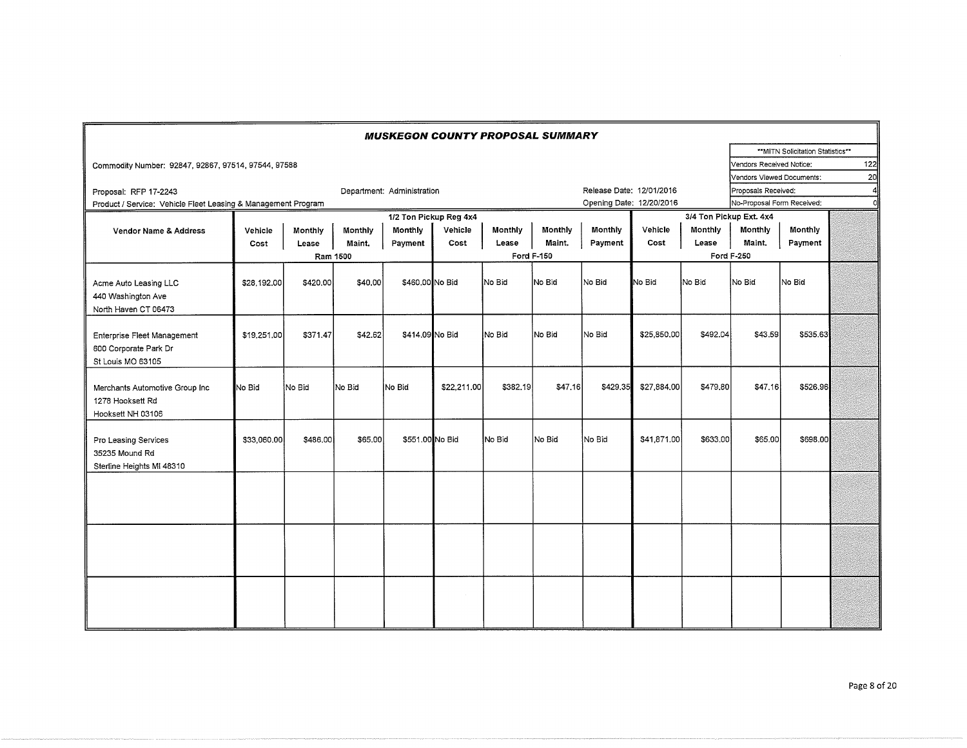|                                                                           |             |          |          | <b>MUSKEGON COUNTY PROPOSAL SUMMARY</b> |                        |                |                   |                          |             |          |                            |                                  |                |
|---------------------------------------------------------------------------|-------------|----------|----------|-----------------------------------------|------------------------|----------------|-------------------|--------------------------|-------------|----------|----------------------------|----------------------------------|----------------|
|                                                                           |             |          |          |                                         |                        |                |                   |                          |             |          |                            | **MITN Solicitation Statistics** |                |
| Commodity Number: 92847, 92867, 97514, 97544, 97588                       |             |          |          |                                         |                        |                |                   |                          |             |          | Vendors Received Notice:   |                                  | 122            |
|                                                                           |             |          |          |                                         |                        |                |                   |                          |             |          | Vendors Viewed Documents:  |                                  | 20             |
| Proposal: RFP 17-2243                                                     |             |          |          | Department: Administration              |                        |                |                   | Release Date: 12/01/2016 |             |          | Proposals Received:        |                                  | $\overline{4}$ |
| Product / Service: Vehicle Fleet Leasing & Management Program             |             |          |          |                                         |                        |                |                   | Opening Date: 12/20/2016 |             |          | No-Proposal Form Received; |                                  | n              |
|                                                                           |             |          |          |                                         | 1/2 Ton Pickup Reg 4x4 |                |                   |                          |             |          | 3/4 Ton Pickup Ext. 4x4    |                                  |                |
| <b>Vendor Name &amp; Address</b>                                          | Vehicle     | Monthly  | Monthly  | Monthly                                 | Vehicle                | <b>Monthly</b> | Monthly           | Monthly                  | Vehicle     | Monthly  | Monthly                    | Monthly                          |                |
|                                                                           | Cost        | Lease    | Maint.   | Payment                                 | Cost                   | Lease          | Maint.            | Payment                  | Cost        | Lease    | Maint.                     | Payment                          |                |
|                                                                           |             |          | Ram 1500 |                                         |                        |                | <b>Ford F-150</b> |                          |             |          | <b>Ford F-250</b>          |                                  |                |
| Acme Auto Leasing LLC<br>440 Washington Ave<br>North Haven CT 06473       | \$28,192.00 | \$420,00 | \$40,00  | \$460.00 No Bid                         |                        | No Bid         | No Bid            | No Bid                   | No Bid      | No Bid   | No Bid                     | No Bid                           |                |
| Enterprise Fleet Management<br>600 Corporate Park Dr<br>St Louis MO 63105 | \$19,251.00 | \$371.47 | \$42.62  | \$414.09 No Bid                         |                        | No Bid         | No Bid            | No Bid                   | \$25,850,00 | \$492.04 | \$43,59                    | \$535.63                         |                |
| Merchants Automotive Group Inc<br>1278 Hooksett Rd<br>Hooksett NH 03106   | No Bid      | No Bid   | No Bid   | No Bid                                  | \$22,211.00            | \$382.19       | \$47.16           | \$429,35                 | \$27,884,00 | \$479.80 | \$47,16                    | \$526,96                         |                |
| Pro Leasing Services<br>35235 Mound Rd<br>Sterline Heights MI 48310       | \$33,060,00 | \$486,00 | \$65.00  | \$551,00 No Bid                         |                        | No Bid         | No Bid            | No Bid                   | \$41,871.00 | \$633,00 | \$65.00                    | \$698,00                         |                |
|                                                                           |             |          |          |                                         |                        |                |                   |                          |             |          |                            |                                  |                |
|                                                                           |             |          |          |                                         |                        |                |                   |                          |             |          |                            |                                  |                |
|                                                                           |             |          |          |                                         |                        |                |                   |                          |             |          |                            |                                  |                |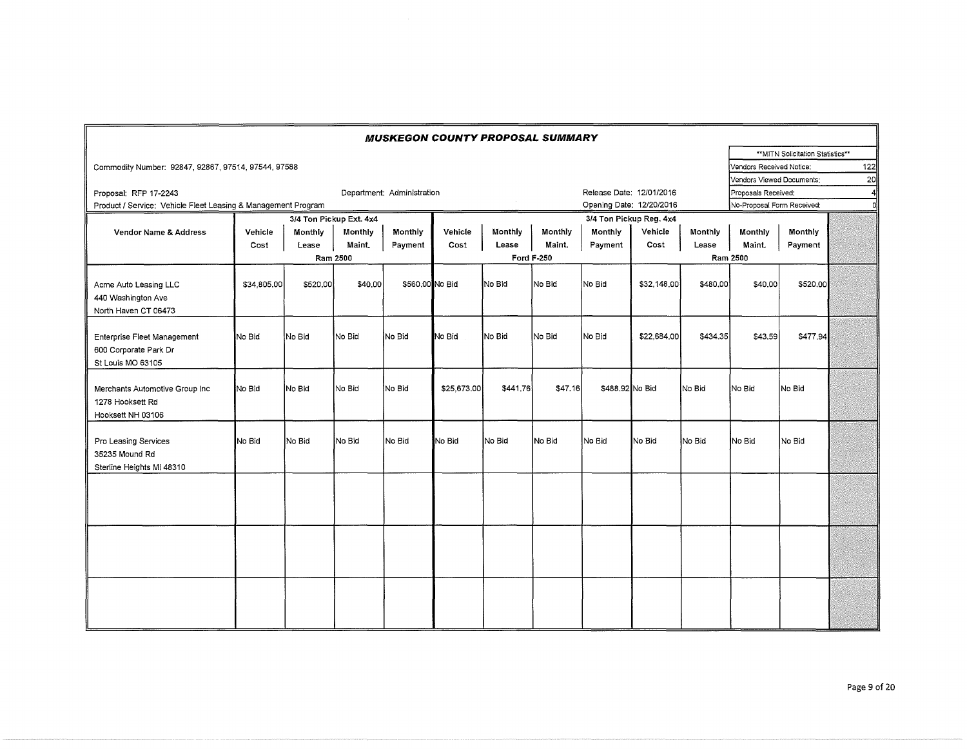|                                                                           |             |          |                         | <b>MUSKEGON COUNTY PROPOSAL SUMMARY</b> |             |          |            |                          |                         |          |                            |                                   |                 |
|---------------------------------------------------------------------------|-------------|----------|-------------------------|-----------------------------------------|-------------|----------|------------|--------------------------|-------------------------|----------|----------------------------|-----------------------------------|-----------------|
|                                                                           |             |          |                         |                                         |             |          |            |                          |                         |          |                            | ** MITN Solicitation Statistics** |                 |
| Commodity Number: 92847, 92867, 97514, 97544, 97588                       |             |          |                         |                                         |             |          |            |                          |                         |          | Vendors Received Notice:   |                                   | 122             |
|                                                                           |             |          |                         |                                         |             |          |            |                          |                         |          | Vendors Viewed Documents:  |                                   | 20 <sup>1</sup> |
| Proposal: RFP 17-2243                                                     |             |          |                         | Department: Administration              |             |          |            | Release Date: 12/01/2016 |                         |          | Proposals Received:        |                                   | 41              |
| Product / Service: Vehicle Fleet Leasing & Management Program             |             |          |                         |                                         |             |          |            | Opening Date: 12/20/2016 |                         |          | No-Proposal Form Received: |                                   | οll             |
|                                                                           |             |          | 3/4 Ton Pickup Ext. 4x4 |                                         |             |          |            |                          | 3/4 Ton Pickup Reg. 4x4 |          |                            |                                   |                 |
| Vendor Name & Address                                                     | Vehicle     | Monthly  | Monthly                 | Monthly                                 | Vehicle     | Monthly  | Monthly    | Monthly                  | Vehicle                 | Monthly  | Monthly                    | Monthly                           |                 |
|                                                                           | Cost        | Lease    | Maint,                  | Payment                                 | Cost        | Lease    | Maint.     | Payment                  | Cost                    | Lease    | Maint.                     | Payment                           |                 |
|                                                                           |             |          | Ram 2500                |                                         |             |          | Ford F-250 |                          |                         |          | Ram 2500                   |                                   |                 |
| Acme Auto Leasing LLC<br>440 Washington Ave<br>North Haven CT 06473       | \$34,805,00 | \$520,00 | \$40,00                 | \$560,00 No Bid                         |             | No Bid   | No Bid     | No Bid                   | \$32,148,00             | \$480,00 | \$40,00                    | \$520.00                          |                 |
| Enterprise Fleet Management<br>600 Corporate Park Dr<br>St Louis MO 63105 | No Bid      | No Bid   | No Bid                  | No Bid                                  | No Bid      | No Bid   | No Bid     | No Bid                   | \$22,684,00             | \$434.35 | \$43,59                    | \$477.94                          |                 |
| Merchants Automotive Group Inc<br>1278 Hooksett Rd<br>Hooksett NH 03106   | No Bid      | No Bid   | No Bid                  | No Bid                                  | \$25,673.00 | \$441.76 | \$47.16    | \$488.92 No Bid          |                         | No Bid   | No Bid                     | No Bid                            |                 |
| Pro Leasing Services<br>35235 Mound Rd<br>Sterline Heights MI 48310       | No Bid      | No Bid   | No Bid                  | No Bid                                  | No Bid      | No Bid   | No Bid     | No Bid                   | No Bid                  | No Bid   | No Bid                     | No Bid                            |                 |
|                                                                           |             |          |                         |                                         |             |          |            |                          |                         |          |                            |                                   |                 |
|                                                                           |             |          |                         |                                         |             |          |            |                          |                         |          |                            |                                   |                 |
|                                                                           |             |          |                         |                                         |             |          |            |                          |                         |          |                            |                                   |                 |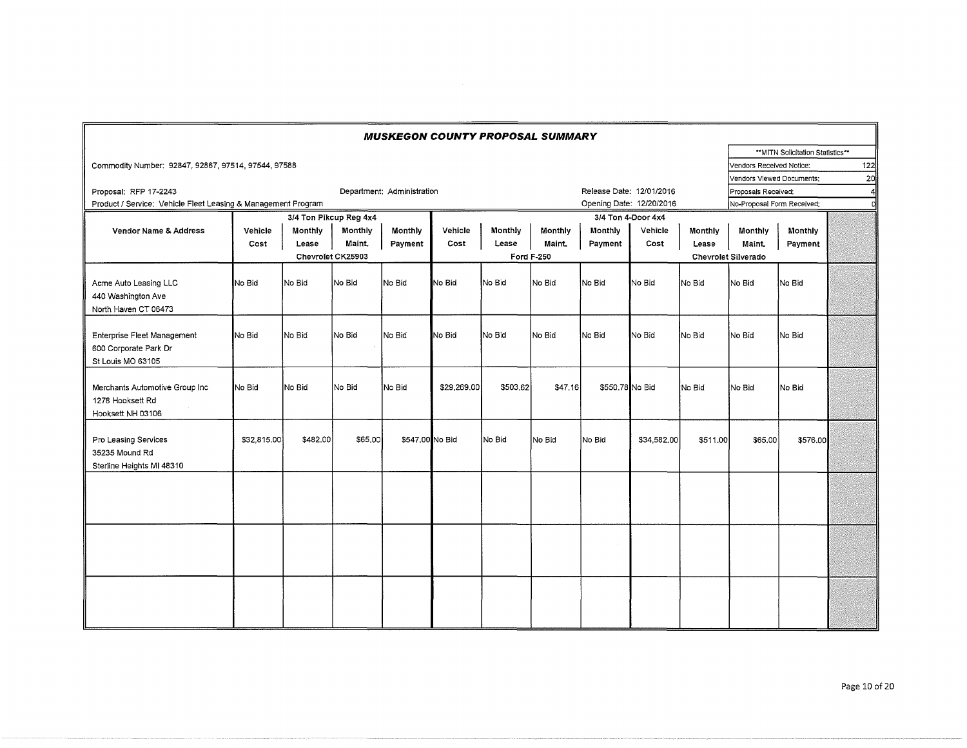|                                                                           |             |          |                        | <b>MUSKEGON COUNTY PROPOSAL SUMMARY</b> |             |          |            |                 |                          |          |                            |                                   |                 |
|---------------------------------------------------------------------------|-------------|----------|------------------------|-----------------------------------------|-------------|----------|------------|-----------------|--------------------------|----------|----------------------------|-----------------------------------|-----------------|
|                                                                           |             |          |                        |                                         |             |          |            |                 |                          |          |                            | ** MITN Solicitation Statistics** |                 |
| Commodity Number: 92847, 92867, 97514, 97544, 97588                       |             |          |                        |                                         |             |          |            |                 |                          |          | Vendors Received Notice:   |                                   | 122             |
|                                                                           |             |          |                        |                                         |             |          |            |                 |                          |          | Vendors Viewed Documents:  |                                   | 20 <sup>1</sup> |
| Proposal: RFP 17-2243                                                     |             |          |                        | Department: Administration              |             |          |            |                 | Release Date: 12/01/2016 |          | Proposals Received:        |                                   | 41              |
| Product / Service: Vehicle Fleet Leasing & Management Program             |             |          |                        |                                         |             |          |            |                 | Opening Date: 12/20/2016 |          | No-Proposal Form Received: |                                   | Ð               |
|                                                                           |             |          | 3/4 Ton Pikcup Reg 4x4 |                                         |             |          |            |                 | 3/4 Ton 4-Door 4x4       |          |                            |                                   |                 |
| Vendor Name & Address                                                     | Vehicle     | Monthly  | Monthly                | Monthly                                 | Vehicle     | Monthly  | Monthly    | Monthly         | Vehicle                  | Monthly  | Monthly                    | Monthly                           |                 |
|                                                                           | Cost        | Lease    | Maint.                 | Payment                                 | Cost        | Lease    | Maint.     | Payment         | Cost                     | Lease    | Maint.                     | Payment                           |                 |
|                                                                           |             |          | Chevrolet CK25903      |                                         |             |          | Ford F-250 |                 |                          |          | Chevrolet Silverado        |                                   |                 |
| Acme Auto Leasing LLC<br>440 Washington Ave<br>North Haven CT 06473       | No Bid      | INo Bid  | No Bid                 | No Bid                                  | No Bid      | No Bid   | No Bid     | No Bid          | No Bid                   | No Bid   | No Bid                     | No Bid                            |                 |
| Enterprise Fleet Management<br>600 Corporate Park Dr<br>St Louis MO 63105 | No Bid      | No Bid   | No Bid                 | No Bid                                  | No Bid      | No Bid   | No Bid     | No Bid          | No Bid                   | No Bid   | No Bid                     | No Bid                            |                 |
| Merchants Automotive Group Inc<br>1278 Hooksett Rd<br>Hooksett NH 03106   | No Bid      | No Bid   | No Bid                 | No Bid                                  | \$29,269,00 | \$503.62 | \$47.16    | \$550,78 No Bid |                          | No Bid   | No Bid                     | No Bid                            |                 |
| Pro Leasing Services<br>35235 Mound Rd<br>Sterline Heights MI 48310       | \$32,815.00 | \$482.00 | \$65,00                | \$547.00 No Bid                         |             | No Bid   | No Bid     | No Bid          | \$34,582,00              | \$511.00 | \$65,00                    | \$576.00                          |                 |
|                                                                           |             |          |                        |                                         |             |          |            |                 |                          |          |                            |                                   |                 |
|                                                                           |             |          |                        |                                         |             |          |            |                 |                          |          |                            |                                   |                 |
|                                                                           |             |          |                        |                                         |             |          |            |                 |                          |          |                            |                                   |                 |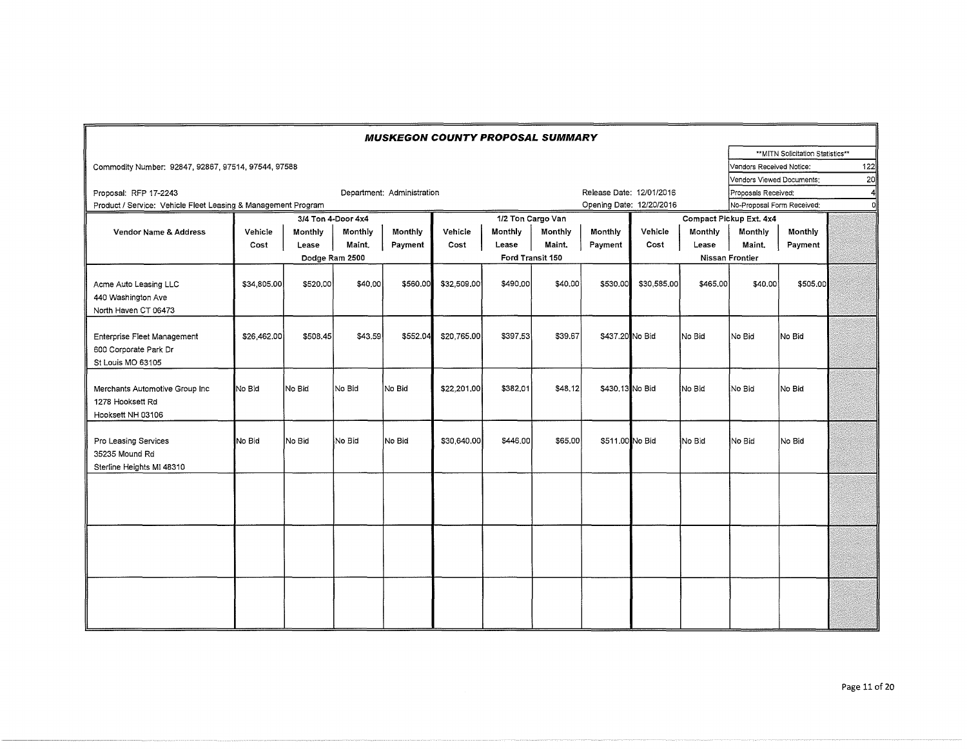|                                                                           |             |          |                    | <b>MUSKEGON COUNTY PROPOSAL SUMMARY</b> |             |                  |                   |                          |             |          |                            |                                  |     |
|---------------------------------------------------------------------------|-------------|----------|--------------------|-----------------------------------------|-------------|------------------|-------------------|--------------------------|-------------|----------|----------------------------|----------------------------------|-----|
|                                                                           |             |          |                    |                                         |             |                  |                   |                          |             |          |                            | **MITN Solicitation Statistics** |     |
| Commodity Number: 92847, 92867, 97514, 97544, 97588                       |             |          |                    |                                         |             |                  |                   |                          |             |          | Vendors Received Notice:   |                                  | 122 |
|                                                                           |             |          |                    |                                         |             |                  |                   |                          |             |          | Vendors Viewed Documents:  |                                  | 20  |
| Proposal: RFP 17-2243                                                     |             |          |                    | Department: Administration              |             |                  |                   | Release Date: 12/01/2016 |             |          | Proposals Received:        |                                  |     |
| Product / Service: Vehicle Fleet Leasing & Management Program             |             |          |                    |                                         |             |                  |                   | Opening Date: 12/20/2016 |             |          | No-Proposal Form Received: |                                  | n   |
|                                                                           |             |          | 3/4 Ton 4-Door 4x4 |                                         |             |                  | 1/2 Ton Cargo Van |                          |             |          | Compact Pickup Ext. 4x4    |                                  |     |
| <b>Vendor Name &amp; Address</b>                                          | Vehicle     | Monthly  | Monthly            | Monthly                                 | Vehicle     | Monthly          | Monthly           | Monthly                  | Vehicle     | Monthly  | Monthly                    | Monthly                          |     |
|                                                                           | Cost        | Lease    | Maint.             | Payment                                 | Cost        | Lease            | Maint.            | Payment                  | Cost        | Lease    | Maint.                     | Payment                          |     |
|                                                                           |             |          | Dodge Ram 2500     |                                         |             | Ford Transit 150 |                   |                          |             |          | Nissan Frontier            |                                  |     |
| Acme Auto Leasing LLC<br>440 Washington Ave<br>North Haven CT 06473       | \$34,805.00 | \$520,00 | \$40,00            | \$560,00                                | \$32,509,00 | \$490,00         | \$40.00           | \$530,00                 | \$30,585,00 | \$465,00 | \$40.00                    | \$505,00                         |     |
| Enterprise Fleet Management<br>600 Corporate Park Dr<br>St Louis MO 63105 | \$26,462.00 | \$508.45 | \$43.59            | \$552.04                                | \$20,765.00 | \$397.53         | \$39.67           | \$437.20 No Bid          |             | No Bid   | No Bid                     | No Bid                           |     |
| Merchants Automotive Group Inc.<br>1278 Hooksett Rd<br>Hooksett NH 03106  | No Bid      | lNo Bid  | lNo Bid            | No Bid                                  | \$22,201.00 | \$382.01         | \$48.12           | \$430,13 No Bid          |             | lNo Bid  | INo Bid                    | No Bid                           |     |
| Pro Leasing Services<br>35235 Mound Rd<br>Sterline Heights MI 48310       | No Bid      | No Bid   | No Bid             | No Bid                                  | \$30,640,00 | \$446.00         | \$65,00           | \$511.00 No Bid          |             | No Bid   | No Bid                     | No Bid                           |     |
|                                                                           |             |          |                    |                                         |             |                  |                   |                          |             |          |                            |                                  |     |
|                                                                           |             |          |                    |                                         |             |                  |                   |                          |             |          |                            |                                  |     |
|                                                                           |             |          |                    |                                         |             |                  |                   |                          |             |          |                            |                                  |     |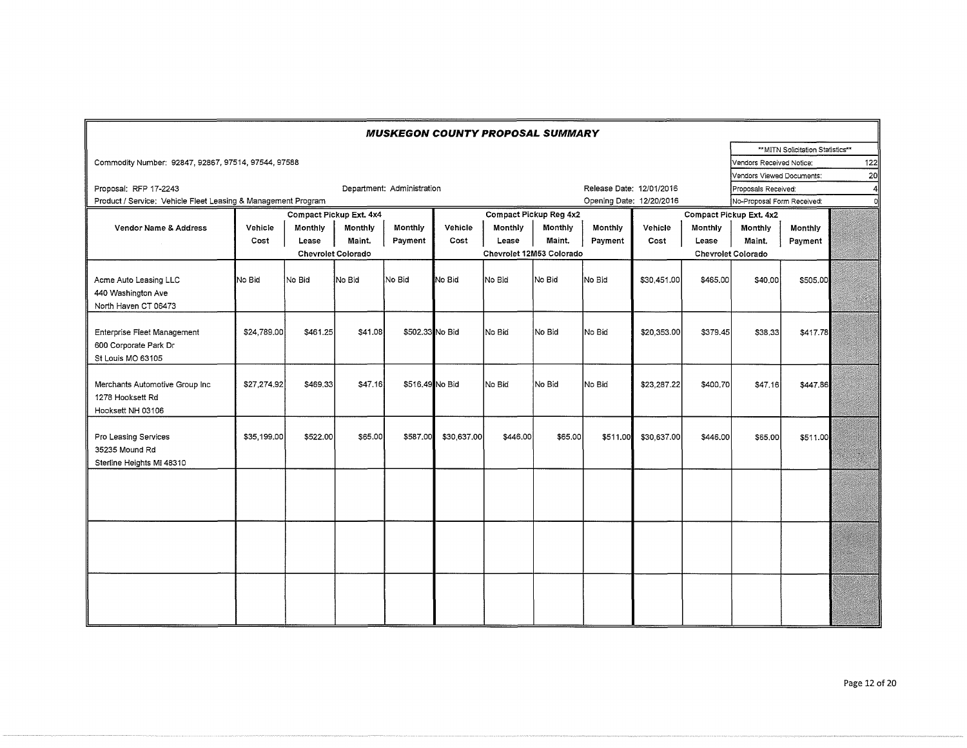|                                                                           |             |          |                           | <b>MUSKEGON COUNTY PROPOSAL SUMMARY</b> |             |                          |                        |                          |             |          |                            |                                   |                  |
|---------------------------------------------------------------------------|-------------|----------|---------------------------|-----------------------------------------|-------------|--------------------------|------------------------|--------------------------|-------------|----------|----------------------------|-----------------------------------|------------------|
|                                                                           |             |          |                           |                                         |             |                          |                        |                          |             |          |                            | ** MITN Solicitation Statistics** |                  |
| Commodity Number: 92847, 92867, 97514, 97544, 97588                       |             |          |                           |                                         |             |                          |                        |                          |             |          | Vendors Received Notice:   |                                   | 122              |
|                                                                           |             |          |                           |                                         |             |                          |                        |                          |             |          | Vendors Viewed Documents:  |                                   | 20               |
| Proposal: RFP 17-2243                                                     |             |          |                           | Department: Administration              |             |                          |                        | Release Date: 12/01/2016 |             |          | Proposals Received:        |                                   | $\boldsymbol{A}$ |
| Product / Service: Vehicle Fleet Leasing & Management Program             |             |          |                           |                                         |             |                          |                        | Opening Date: 12/20/2016 |             |          | No-Proposal Form Received: |                                   |                  |
|                                                                           |             |          | Compact Pickup Ext. 4x4   |                                         |             |                          | Compact Pickup Reg 4x2 |                          |             |          | Compact Pickup Ext. 4x2    |                                   |                  |
| Vendor Name & Address                                                     | Vehicle     | Monthly  | <b>Monthly</b>            | Monthly                                 | Vehicle     | Monthly                  | Monthly                | Monthly                  | Vehicle     | Monthly  | Monthly                    | <b>Monthly</b>                    |                  |
|                                                                           | Cost        | Lease    | Maint.                    | Payment                                 | Cost        | Lease                    | Maint.                 | Payment                  | Cost        | Lease    | Maint.                     | Payment                           |                  |
|                                                                           |             |          | <b>Chevrolet Colorado</b> |                                         |             | Chevrolet 12M53 Colorado |                        |                          |             |          | <b>Chevrolet Colorado</b>  |                                   |                  |
| Acme Auto Leasing LLC<br>440 Washington Ave<br>North Haven CT 06473       | No Bid      | No Bid   | <b>No Bid</b>             | No Bid                                  | No Bid      | lNo Bid                  | No Bid                 | No Bid                   | \$30,451.00 | \$465,00 | \$40,00                    | \$505.00                          |                  |
| Enterprise Fleet Management<br>600 Corporate Park Dr<br>St Louis MO 63105 | \$24,789.00 | \$461.25 | \$41.08                   | \$502.33 No Bid                         |             | No Bid                   | No Bid                 | No Bid                   | \$20,353.00 | \$379.45 | \$38,33                    | \$417.78                          |                  |
| Merchants Automotive Group Inc<br>1278 Hooksett Rd<br>Hooksett NH 03106   | \$27,274.92 | \$469,33 | \$47.16                   | \$516,49 No Bid                         |             | No Bid                   | No Bid                 | No Bid                   | \$23,287.22 | \$400,70 | \$47.16                    | \$447.86                          |                  |
| Pro Leasing Services<br>35235 Mound Rd<br>Sterline Heights MI 48310       | \$35,199,00 | \$522.00 | \$65,00                   | \$587.00                                | \$30,637,00 | \$446.00                 | \$65,00                | \$511.00                 | \$30,637.00 | \$446,00 | \$65,00                    | \$511.00                          |                  |
|                                                                           |             |          |                           |                                         |             |                          |                        |                          |             |          |                            |                                   |                  |
|                                                                           |             |          |                           |                                         |             |                          |                        |                          |             |          |                            |                                   |                  |
|                                                                           |             |          |                           |                                         |             |                          |                        |                          |             |          |                            |                                   |                  |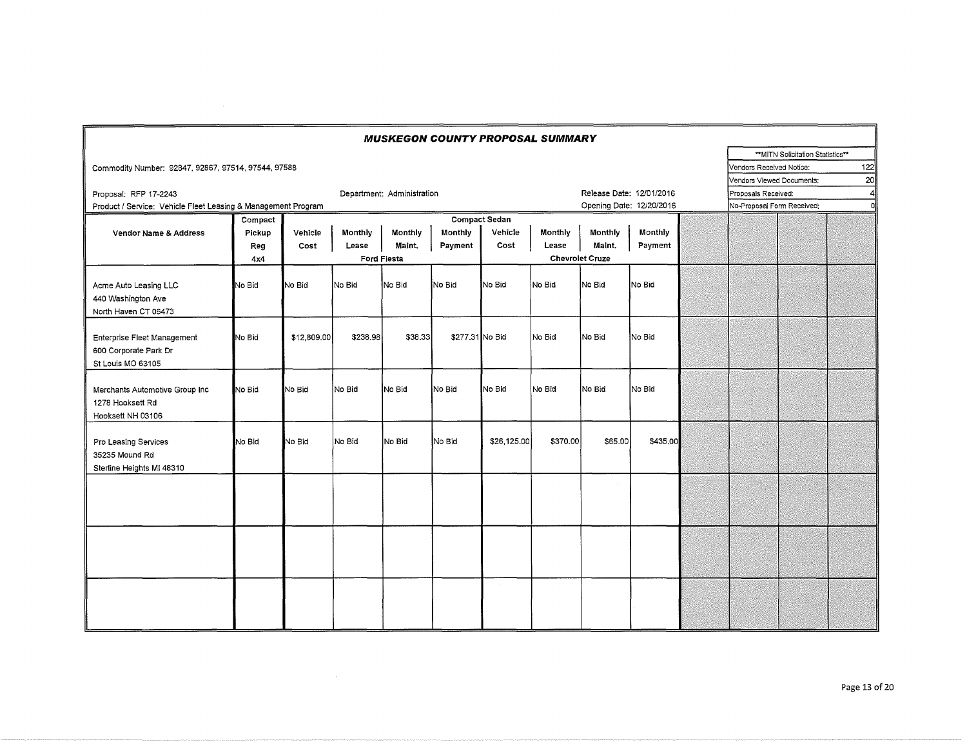| <b>MUSKEGON COUNTY PROPOSAL SUMMARY</b>                       |                                    |             |          |                            |                 |                      |          |                        |                          |  |                            |                                   |     |
|---------------------------------------------------------------|------------------------------------|-------------|----------|----------------------------|-----------------|----------------------|----------|------------------------|--------------------------|--|----------------------------|-----------------------------------|-----|
|                                                               |                                    |             |          |                            |                 |                      |          |                        |                          |  |                            | ** MITN Solicitation Statistics** |     |
| Commodity Number: 92847, 92867, 97514, 97544, 97588           |                                    |             |          |                            |                 |                      |          |                        |                          |  | Vendors Received Notice:   |                                   | 122 |
|                                                               |                                    |             |          |                            |                 |                      |          |                        |                          |  | Vendors Viewed Documents:  |                                   | 20  |
| Proposal: RFP 17-2243                                         |                                    |             |          | Department: Administration |                 |                      |          |                        | Release Date: 12/01/2016 |  | Proposals Received:        |                                   | ΔΙ  |
| Product / Service: Vehicle Fleet Leasing & Management Program | Opening Date: 12/20/2016           |             |          |                            |                 |                      |          |                        |                          |  | No-Proposal Form Received: |                                   | σl  |
|                                                               | Compact                            |             |          |                            |                 | <b>Compact Sedan</b> |          |                        |                          |  |                            |                                   |     |
| Vendor Name & Address                                         | Pickup                             | Vehicle     | Monthly  | Monthly                    | Monthly         | Vehicle              | Monthly  | Monthly                | Monthly                  |  |                            |                                   |     |
|                                                               | Reg                                | Cost        | Lease    | Maint.                     | Payment         | Cost                 | Lease    | Maint.                 | Payment                  |  |                            |                                   |     |
|                                                               | 4x4                                |             |          | Ford Fiesta                |                 |                      |          | <b>Chevrolet Cruze</b> |                          |  |                            |                                   |     |
|                                                               |                                    |             |          |                            |                 |                      |          |                        |                          |  |                            |                                   |     |
| Acme Auto Leasing LLC                                         | No Bid                             | No Bid      | No Bid   | No Bid                     | No Bid          | No Bid               | No Bid   | No Bid                 | No Bid                   |  |                            |                                   |     |
| 440 Washington Ave                                            |                                    |             |          |                            |                 |                      |          |                        |                          |  |                            |                                   |     |
| North Haven CT 06473                                          |                                    |             |          |                            |                 |                      |          |                        |                          |  |                            |                                   |     |
|                                                               |                                    |             |          |                            |                 |                      |          |                        |                          |  |                            |                                   |     |
| Enterprise Fleet Management                                   | $\mathsf{No}\mathop{\mathsf{Bid}}$ | \$12,809.00 | \$238.98 | \$38.33                    | \$277.31 No Bid |                      | No Bid   | INo Bid                | No Bid                   |  |                            |                                   |     |
| 600 Corporate Park Dr                                         |                                    |             |          |                            |                 |                      |          |                        |                          |  |                            |                                   |     |
| St Louis MO 63105                                             |                                    |             |          |                            |                 |                      |          |                        |                          |  |                            |                                   |     |
|                                                               |                                    |             |          |                            |                 |                      |          |                        |                          |  |                            |                                   |     |
| Merchants Automotive Group Inc                                | No Bid                             | No Bid      | No Bid   | No Bid                     | No Bid          | No Bid               | No Bid   | No Bid                 | No Bid                   |  |                            |                                   |     |
| 1278 Hooksett Rd                                              |                                    |             |          |                            |                 |                      |          |                        |                          |  |                            |                                   |     |
|                                                               |                                    |             |          |                            |                 |                      |          |                        |                          |  |                            |                                   |     |
| Hooksett NH 03106                                             |                                    |             |          |                            |                 |                      |          |                        |                          |  |                            |                                   |     |
|                                                               |                                    |             |          |                            |                 |                      |          |                        |                          |  |                            |                                   |     |
| Pro Leasing Services                                          | No Bid                             | No Bid      | No Bid   | No Bid                     | No Bid          | \$26,125.00          | \$370.00 | \$65.00                | \$435,00                 |  |                            |                                   |     |
| 35235 Mound Rd                                                |                                    |             |          |                            |                 |                      |          |                        |                          |  |                            |                                   |     |
| Sterline Heights MI 48310                                     |                                    |             |          |                            |                 |                      |          |                        |                          |  |                            |                                   |     |
|                                                               |                                    |             |          |                            |                 |                      |          |                        |                          |  |                            |                                   |     |
|                                                               |                                    |             |          |                            |                 |                      |          |                        |                          |  |                            |                                   |     |
|                                                               |                                    |             |          |                            |                 |                      |          |                        |                          |  |                            |                                   |     |
|                                                               |                                    |             |          |                            |                 |                      |          |                        |                          |  |                            |                                   |     |
|                                                               |                                    |             |          |                            |                 |                      |          |                        |                          |  |                            |                                   |     |
|                                                               |                                    |             |          |                            |                 |                      |          |                        |                          |  |                            |                                   |     |
|                                                               |                                    |             |          |                            |                 |                      |          |                        |                          |  |                            |                                   |     |
|                                                               |                                    |             |          |                            |                 |                      |          |                        |                          |  |                            |                                   |     |
|                                                               |                                    |             |          |                            |                 |                      |          |                        |                          |  |                            |                                   |     |
|                                                               |                                    |             |          |                            |                 |                      |          |                        |                          |  |                            |                                   |     |
|                                                               |                                    |             |          |                            |                 |                      |          |                        |                          |  |                            |                                   |     |
|                                                               |                                    |             |          |                            |                 |                      |          |                        |                          |  |                            |                                   |     |

 $\sim 10^{-1}$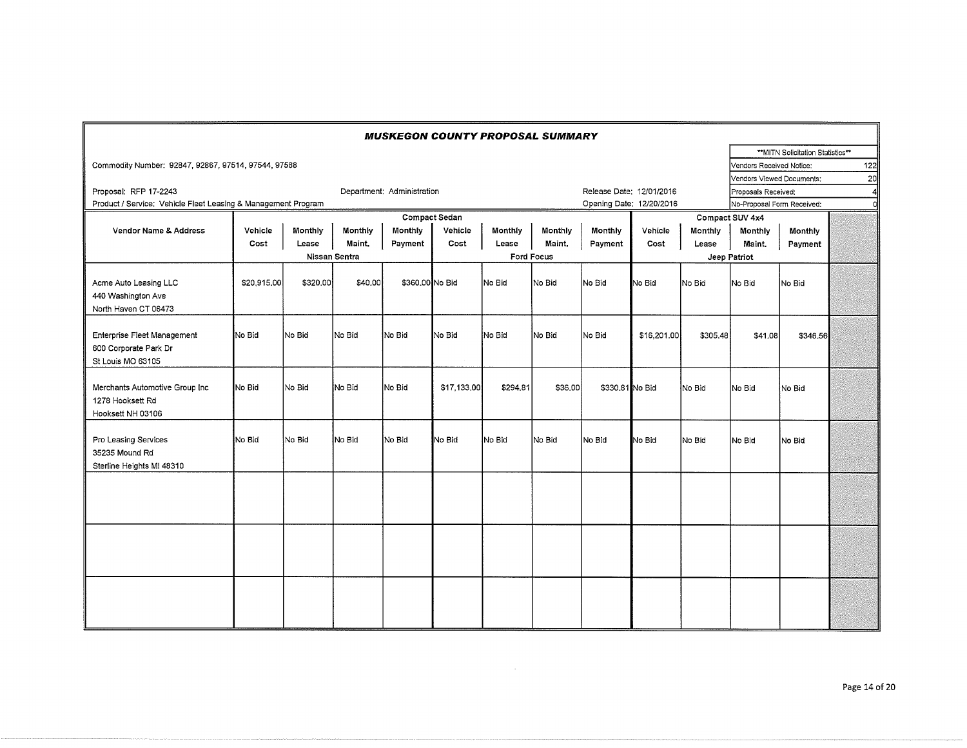| <b>MUSKEGON COUNTY PROPOSAL SUMMARY</b>                                   |               |                |         |                            |                      |          |                   |                          |                          |                 |                            |                                  |     |  |  |
|---------------------------------------------------------------------------|---------------|----------------|---------|----------------------------|----------------------|----------|-------------------|--------------------------|--------------------------|-----------------|----------------------------|----------------------------------|-----|--|--|
|                                                                           |               |                |         |                            |                      |          |                   |                          |                          |                 |                            | **MITN Solicitation Statistics** |     |  |  |
| Commodity Number: 92847, 92867, 97514, 97544, 97588                       |               |                |         |                            |                      |          |                   |                          |                          |                 | Vendors Received Notice:   |                                  | 122 |  |  |
|                                                                           |               |                |         |                            |                      |          |                   |                          |                          |                 | Vendors Viewed Documents:  |                                  | 20  |  |  |
| Proposal: RFP 17-2243                                                     |               |                |         | Department: Administration |                      |          |                   |                          | Release Date: 12/01/2016 |                 | Proposals Received:        |                                  |     |  |  |
| Product / Service: Vehicle Fleet Leasing & Management Program             |               |                |         |                            |                      |          |                   | Opening Date: 12/20/2016 |                          |                 | No-Proposal Form Received: |                                  | r   |  |  |
|                                                                           |               |                |         |                            | <b>Compact Sedan</b> |          |                   |                          |                          | Compact SUV 4x4 |                            |                                  |     |  |  |
| Vendor Name & Address                                                     | Vehicle       | <b>Monthly</b> | Monthly | Monthly                    | Vehicle              | Monthly  | Monthly           | Monthly                  | Vehicle                  | Monthly         | Monthly                    | Monthly                          |     |  |  |
|                                                                           | Cost          | Lease          | Maint,  | Payment                    | Cost                 | Lease    | Maint,            | Payment                  | Cost                     | Lease           | Maint.                     | Payment                          |     |  |  |
|                                                                           | Nissan Sentra |                |         |                            |                      |          | <b>Ford Focus</b> |                          |                          |                 | Jeep Patriot               |                                  |     |  |  |
| Acme Auto Leasing LLC<br>440 Washington Ave<br>North Haven CT 06473       | \$20,915.00   | \$320,00       | \$40,00 | \$360,00 No Bid            |                      | No Bid   | No Bid            | No Bid                   | No Bid                   | No Bid          | No Bid                     | lNo Bid                          |     |  |  |
| Enterprise Fleet Management<br>600 Corporate Park Dr<br>St Louis MO 63105 | No Bid        | No Bid         | No Bid  | No Bid                     | No Bid               | No Bid   | No Bid            | No Bid                   | \$16,201.00              | \$305.48        | \$41.08                    | \$346.56                         |     |  |  |
| Merchants Automotive Group Inc<br>1278 Hooksett Rd<br>Hooksett NH 03106   | No Bid        | No Bid         | No Bid  | No Bid                     | \$17,133,00          | \$294.81 | \$36,00           | \$330,81 No Bid          |                          | No Bid          | No Bid                     | No Bid                           |     |  |  |
| Pro Leasing Services<br>35235 Mound Rd<br>Sterline Heights MI 48310       | No Bid        | No Bid         | No Bid  | No Bid                     | No Bid               | No Bid   | No Bid            | No Bid                   | No Bid                   | No Bid          | No Bid                     | No Bid                           |     |  |  |
|                                                                           |               |                |         |                            |                      |          |                   |                          |                          |                 |                            |                                  |     |  |  |
|                                                                           |               |                |         |                            |                      |          |                   |                          |                          |                 |                            |                                  |     |  |  |
|                                                                           |               |                |         |                            |                      |          |                   |                          |                          |                 |                            |                                  |     |  |  |

 $\mathcal{L}^{\text{max}}_{\text{max}}$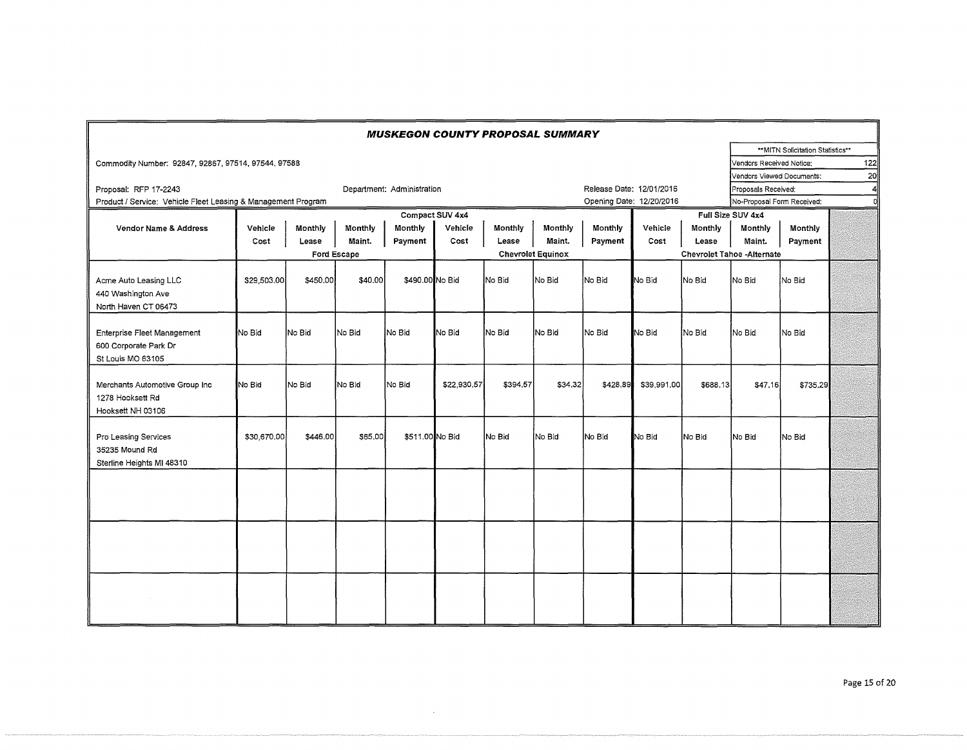|                                                                           |                                          |             |         | <b>MUSKEGON COUNTY PROPOSAL SUMMARY</b> |                          |          |         |          |                                   |          |                            |                                   |     |
|---------------------------------------------------------------------------|------------------------------------------|-------------|---------|-----------------------------------------|--------------------------|----------|---------|----------|-----------------------------------|----------|----------------------------|-----------------------------------|-----|
|                                                                           |                                          |             |         |                                         |                          |          |         |          |                                   |          |                            | ** MITN Solicitation Statistics** |     |
| Commodity Number: 92847, 92867, 97514, 97544, 97588                       |                                          |             |         |                                         |                          |          |         |          |                                   |          | Vendors Received Notice:   |                                   | 122 |
|                                                                           |                                          |             |         |                                         |                          |          |         |          |                                   |          | Vendors Viewed Documents:  |                                   | 20l |
| Proposal: RFP 17-2243                                                     |                                          |             |         | Department: Administration              |                          |          |         |          | Release Date: 12/01/2016          |          | Proposals Received:        |                                   | 4   |
| Product / Service: Vehicle Fleet Leasing & Management Program             |                                          |             |         |                                         |                          |          |         |          | Opening Date: 12/20/2016          |          | No-Proposal Form Received: |                                   |     |
|                                                                           |                                          |             |         |                                         | Compact SUV 4x4          |          |         |          | Full Size SUV 4x4                 |          |                            |                                   |     |
| <b>Vendor Name &amp; Address</b>                                          | Monthly<br>Monthly<br>Monthly<br>Vehicle |             |         |                                         |                          | Monthly  | Monthly | Monthly  | Vehicle                           | Monthly  | Monthly                    |                                   |     |
|                                                                           | Cost                                     | Lease       | Maint.  | Payment                                 | Cost                     | Lease    | Maint.  | Payment  | Cost                              | Lease    | Maint.                     | Payment                           |     |
|                                                                           |                                          | Ford Escape |         |                                         | <b>Chevrolet Equinox</b> |          |         |          | <b>Chevrolet Tahoe -Alternate</b> |          |                            |                                   |     |
| Acme Auto Leasing LLC<br>440 Washington Ave<br>North Haven CT 06473       | \$29,503.00                              | \$450.00    | \$40,00 | \$490,00 No Bid                         |                          | No Bid   | INo Bid | No Bid   | No Bid                            | No Bid   | lNo Bid                    | No Bid                            |     |
| Enterprise Fleet Management<br>600 Corporate Park Dr<br>St Louis MO 63105 | No Bid                                   | No Bid      | No Bid  | No Bid                                  | No Bid                   | No Bid   | lNo Bid | No Bid   | No Bid                            | No Bid   | No Bid                     | No Bid                            |     |
| Merchants Automotive Group Inc<br>1278 Hooksett Rd<br>Hooksett NH 03106   | No Bid                                   | No Bid      | No Bid  | No Bid                                  | \$22,930.57              | \$394.57 | \$34,32 | \$428.89 | \$39,991.00                       | \$688.13 | \$47.16                    | \$735.29                          |     |
| Pro Leasing Services<br>35235 Mound Rd<br>Sterline Heights MI 48310       | \$30,670.00                              | \$446.00    | \$65,00 | \$511.00 No Bid                         |                          | No Bid   | No Bid  | lNo Bid  | No Bid                            | No Bid   | No Bid                     | No Bid                            |     |
|                                                                           |                                          |             |         |                                         |                          |          |         |          |                                   |          |                            |                                   |     |
|                                                                           |                                          |             |         |                                         |                          |          |         |          |                                   |          |                            |                                   |     |

 $\bar{z}$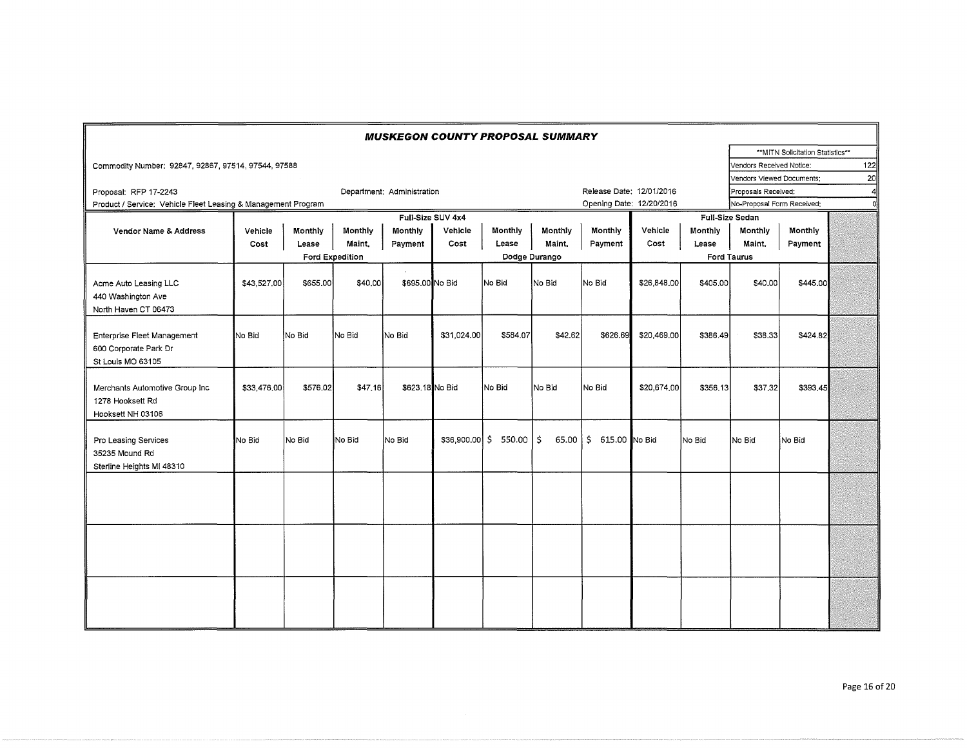|                                                                           |             |          |                        | <b>MUSKEGON COUNTY PROPOSAL SUMMARY</b> |                   |          |               |                          |             |          |                                 |                                  |                 |  |  |
|---------------------------------------------------------------------------|-------------|----------|------------------------|-----------------------------------------|-------------------|----------|---------------|--------------------------|-------------|----------|---------------------------------|----------------------------------|-----------------|--|--|
|                                                                           |             |          |                        |                                         |                   |          |               |                          |             |          |                                 | **MITN Solicitation Statistics** |                 |  |  |
| Commodity Number: 92847, 92867, 97514, 97544, 97588                       |             |          |                        |                                         |                   |          |               |                          |             |          | Vendors Received Notice:        |                                  | 122             |  |  |
|                                                                           |             |          |                        |                                         |                   |          |               |                          |             |          | Vendors Viewed Documents:       |                                  | 20 <sup>1</sup> |  |  |
| Proposal: RFP 17-2243                                                     |             |          |                        | Department: Administration              |                   |          |               | Release Date: 12/01/2016 |             |          | Proposals Received:             |                                  |                 |  |  |
| Product / Service: Vehicle Fleet Leasing & Management Program             |             |          |                        |                                         |                   |          |               | Opening Date: 12/20/2016 |             |          | No-Proposal Form Received;<br>d |                                  |                 |  |  |
|                                                                           |             |          |                        |                                         | Full-Size SUV 4x4 |          |               |                          |             |          | <b>Full-Size Sedan</b>          |                                  |                 |  |  |
| Vendor Name & Address                                                     | Vehicle     | Monthly  | Monthly                | <b>Monthly</b>                          | Vehicle           | Monthly  | Monthly       | Monthly                  | Vehicle     | Monthly  | Monthly                         | Monthly                          |                 |  |  |
|                                                                           | Cost        | Lease    | Maint.                 | Payment                                 | Cost              | Lease    | Maint.        | Payment                  | Cost        | Lease    | Maint.                          | Payment                          |                 |  |  |
|                                                                           |             |          | <b>Ford Expedition</b> |                                         |                   |          | Dodge Durango |                          |             |          | <b>Ford Taurus</b>              |                                  |                 |  |  |
| Acme Auto Leasing LLC<br>440 Washington Ave<br>North Haven CT 06473       | \$43,527.00 | \$655,00 | \$40,00                | \$695,00 No Bid                         |                   | No Bid   | No Bid        | No Bid                   | \$26,848,00 | \$405,00 | \$40.00                         | \$445.00                         |                 |  |  |
| Enterprise Fleet Management<br>600 Corporate Park Dr<br>St Louis MO 63105 | No Bid      | No Bid   | No Bid                 | No Bid                                  | \$31,024.00       | \$584.07 | \$42.62       | \$626.69                 | \$20,469,00 | \$386,49 | \$38.33                         | \$424.82                         |                 |  |  |
| Merchants Automotive Group Inc<br>1278 Hooksett Rd<br>Hooksett NH 03106   | \$33,476,00 | \$576.02 | \$47,16                | \$623.18 No Bid                         |                   | No Bid   | No Bid        | No Bid                   | \$20,674,00 | \$356,13 | \$37,32                         | \$393,45                         |                 |  |  |
| Pro Leasing Services<br>35235 Mound Rd<br>Sterline Heights MI 48310       | No Bid      | No Bid   | No Bid                 | No Bid                                  | $$36,900.00$ \$   | 550.00   | Ŝ.<br>65.00   | \$ 615.00 No Bid         |             | No Bid   | No Bid                          | No Bid                           |                 |  |  |
|                                                                           |             |          |                        |                                         |                   |          |               |                          |             |          |                                 |                                  |                 |  |  |
|                                                                           |             |          |                        |                                         |                   |          |               |                          |             |          |                                 |                                  |                 |  |  |
|                                                                           |             |          |                        |                                         |                   |          |               |                          |             |          |                                 |                                  |                 |  |  |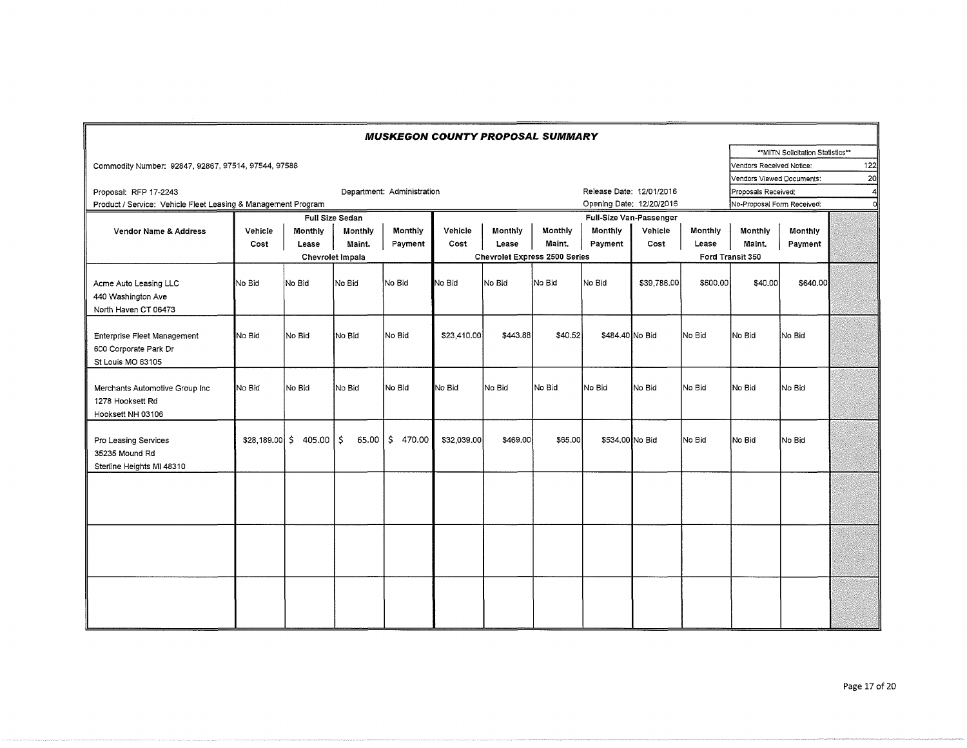| <b>MUSKEGON COUNTY PROPOSAL SUMMARY</b>                       |                  |         |                        |                            |             |                                                          |         |                          |             |          |                            |                                  |     |
|---------------------------------------------------------------|------------------|---------|------------------------|----------------------------|-------------|----------------------------------------------------------|---------|--------------------------|-------------|----------|----------------------------|----------------------------------|-----|
|                                                               |                  |         |                        |                            |             |                                                          |         |                          |             |          |                            | **MITN Solicitation Statistics** |     |
| Commodity Number: 92847, 92867, 97514, 97544, 97588           |                  |         |                        |                            |             |                                                          |         |                          |             |          | Vendors Received Notice:   |                                  | 122 |
|                                                               |                  |         |                        |                            |             |                                                          |         |                          |             |          | Vendors Viewed Documents:  |                                  | 20  |
| Proposal: RFP 17-2243                                         |                  |         |                        | Department: Administration |             |                                                          |         | Release Date: 12/01/2016 |             |          | Proposals Received:<br>4   |                                  |     |
| Product / Service: Vehicle Fleet Leasing & Management Program |                  |         |                        |                            |             |                                                          |         | Opening Date: 12/20/2016 |             |          | No-Proposal Form Received: |                                  | 'n  |
|                                                               |                  |         | <b>Full Size Sedan</b> |                            |             |                                                          |         |                          |             |          |                            |                                  |     |
| <b>Vendor Name &amp; Address</b>                              | Vehicle          | Monthly | Monthly                | Monthly                    | Vehicle     | <b>Monthly</b>                                           | Monthly | Monthly                  | Vehicle     | Monthly  | Monthly                    | Monthly                          |     |
|                                                               | Cost             | Lease   | Maint.                 | Payment                    | Cost        | Lease                                                    | Maint.  | Payment                  | Cost        | Lease    | Maint.                     | Payment                          |     |
|                                                               | Chevrolet Impala |         |                        |                            |             | <b>Chevrolet Express 2500 Series</b><br>Ford Transit 350 |         |                          |             |          |                            |                                  |     |
|                                                               |                  |         |                        |                            |             |                                                          |         |                          |             |          |                            |                                  |     |
| Acme Auto Leasing LLC                                         | No Bid           | No Bid  | No Bid                 | No Bid                     | No Bid      | No Bid                                                   | No Bid  | No Bid                   | \$39,786.00 | \$600,00 | \$40,00                    | \$640.00                         |     |
| 440 Washington Ave                                            |                  |         |                        |                            |             |                                                          |         |                          |             |          |                            |                                  |     |
| North Haven CT 06473                                          |                  |         |                        |                            |             |                                                          |         |                          |             |          |                            |                                  |     |
|                                                               |                  |         |                        |                            |             |                                                          |         |                          |             |          |                            |                                  |     |
| Enterprise Fleet Management                                   | No Bid           | lNo Bid | INo Bid                | No Bid                     | \$23,410,00 | \$443.88                                                 | \$40.52 | \$484.40 No Bid          |             | No Bid   | No Bid                     | No Bid                           |     |
| 600 Corporate Park Dr                                         |                  |         |                        |                            |             |                                                          |         |                          |             |          |                            |                                  |     |
| St Louis MO 63105                                             |                  |         |                        |                            |             |                                                          |         |                          |             |          |                            |                                  |     |
|                                                               |                  |         |                        |                            |             |                                                          |         |                          |             |          |                            |                                  |     |
| Merchants Automotive Group Inc                                | No Bid           | lNo Bid | No Bid                 | No Bid                     | No Bid      | No Bid                                                   | No Bid  | lNo Bid                  | No Bid      | No Bid   | No Bid                     | No Bid                           |     |
| 1278 Hooksett Rd                                              |                  |         |                        |                            |             |                                                          |         |                          |             |          |                            |                                  |     |
| Hooksett NH 03106                                             |                  |         |                        |                            |             |                                                          |         |                          |             |          |                            |                                  |     |
| Pro Leasing Services                                          | \$28,189,00 \$   | 405.00  | Ŝ.<br>65.00            | IS.<br>470.00              | \$32,039,00 | \$469.00                                                 | \$65,00 | \$534,00 No Bid          |             | No Bid   | No Bid                     | No Bid                           |     |
| 35235 Mound Rd                                                |                  |         |                        |                            |             |                                                          |         |                          |             |          |                            |                                  |     |
| Sterline Heights MI 48310                                     |                  |         |                        |                            |             |                                                          |         |                          |             |          |                            |                                  |     |
|                                                               |                  |         |                        |                            |             |                                                          |         |                          |             |          |                            |                                  |     |
|                                                               |                  |         |                        |                            |             |                                                          |         |                          |             |          |                            |                                  |     |
|                                                               |                  |         |                        |                            |             |                                                          |         |                          |             |          |                            |                                  |     |
|                                                               |                  |         |                        |                            |             |                                                          |         |                          |             |          |                            |                                  |     |
|                                                               |                  |         |                        |                            |             |                                                          |         |                          |             |          |                            |                                  |     |
|                                                               |                  |         |                        |                            |             |                                                          |         |                          |             |          |                            |                                  |     |
|                                                               |                  |         |                        |                            |             |                                                          |         |                          |             |          |                            |                                  |     |
|                                                               |                  |         |                        |                            |             |                                                          |         |                          |             |          |                            |                                  |     |
|                                                               |                  |         |                        |                            |             |                                                          |         |                          |             |          |                            |                                  |     |
|                                                               |                  |         |                        |                            |             |                                                          |         |                          |             |          |                            |                                  |     |
|                                                               |                  |         |                        |                            |             |                                                          |         |                          |             |          |                            |                                  |     |
|                                                               |                  |         |                        |                            |             |                                                          |         |                          |             |          |                            |                                  |     |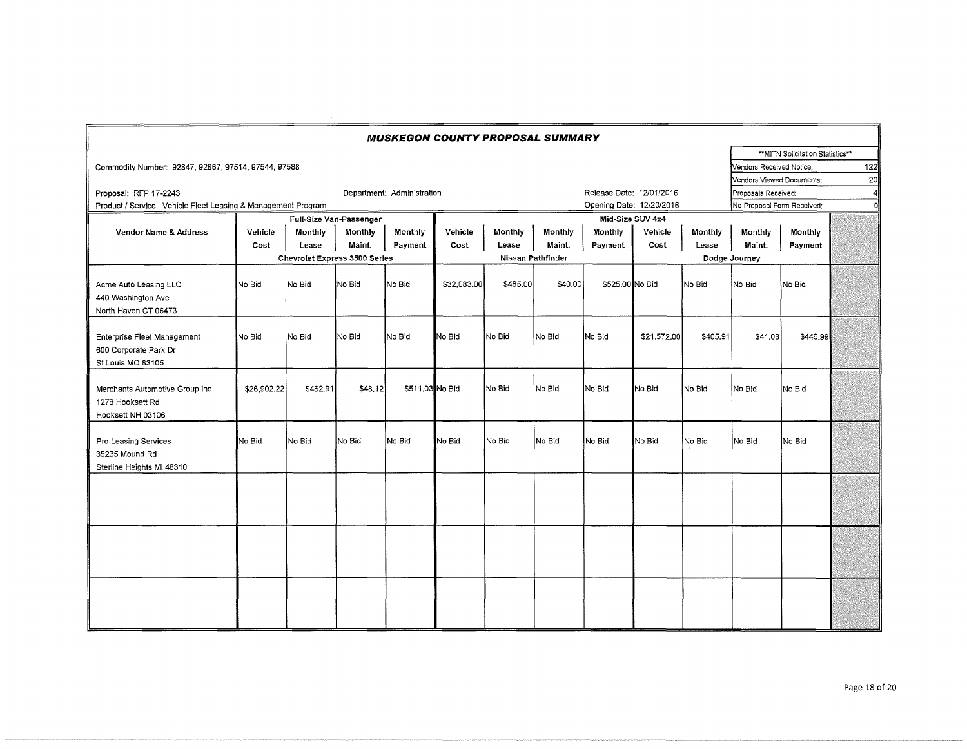| <b>MUSKEGON COUNTY PROPOSAL SUMMARY</b>                                   |                                      |          |         |                            |             |                                    |                            |                 |                     |          |                           |                                   |                 |
|---------------------------------------------------------------------------|--------------------------------------|----------|---------|----------------------------|-------------|------------------------------------|----------------------------|-----------------|---------------------|----------|---------------------------|-----------------------------------|-----------------|
|                                                                           |                                      |          |         |                            |             |                                    |                            |                 |                     |          |                           | ** MITN Solicitation Statistics** |                 |
| Commodity Number: 92847, 92867, 97514, 97544, 97588                       |                                      |          |         |                            |             |                                    |                            |                 |                     |          | Vendors Received Notice:  |                                   | 122             |
|                                                                           |                                      |          |         |                            |             |                                    |                            |                 |                     |          | Vendors Viewed Documents: |                                   | 20 <sub>1</sub> |
| Proposal: RFP 17-2243                                                     |                                      |          |         | Department: Administration |             |                                    |                            |                 | Proposals Received: |          |                           |                                   |                 |
| Product / Service: Vehicle Fleet Leasing & Management Program             |                                      |          |         |                            |             |                                    | No-Proposal Form Received: | ni              |                     |          |                           |                                   |                 |
|                                                                           | Full-Size Van-Passenger              |          |         |                            |             |                                    |                            |                 |                     |          |                           |                                   |                 |
| Vendor Name & Address                                                     | Vehicle                              | Monthly  | Monthly | Monthly                    | Vehicle     | Monthly                            | Monthly                    | Monthly         | Vehicle             | Monthly  | Monthly                   | Monthly                           |                 |
|                                                                           | Cost                                 | Lease    | Maint.  | Payment                    | Cost        | Lease                              | Maint.                     | Payment         | Cost                | Lease    | Maint.                    | Payment                           |                 |
|                                                                           | <b>Chevrolet Express 3500 Series</b> |          |         |                            |             | Nissan Pathfinder<br>Dodge Journey |                            |                 |                     |          |                           |                                   |                 |
| Acme Auto Leasing LLC<br>440 Washington Ave<br>North Haven CT 06473       | No Bid                               | No Bid   | No Bid  | No Bid                     | \$32,083,00 | \$485,00                           | \$40,00                    | \$525,00 No Bid |                     | No Bid   | No Bid                    | No Bid                            |                 |
| Enterprise Fleet Management<br>600 Corporate Park Dr<br>St Louis MO 63105 | INo Bid                              | No Bid   | No Bid  | No Bid                     | No Bid      | No Bid                             | No Bid                     | No Bid          | \$21,572.00         | \$405.91 | \$41.08                   | \$446.99                          |                 |
| Merchants Automotive Group Inc<br>1278 Hooksett Rd<br>Hooksett NH 03106   | \$26,902.22                          | \$462.91 | \$48.12 | \$511,03 No Bid            |             | No Bid                             | No Bid                     | No Bid          | No Bid              | No Bid   | No Bid                    | No Bid                            |                 |
| Pro Leasing Services<br>35235 Mound Rd<br>Sterline Heights MI 48310       | No Bid                               | No Bid   | No Bid  | lNo Bid                    | No Bid      | No Bid                             | No Bid                     | No Bid          | No Bid              | No Bid   | No Bid                    | No Bid                            |                 |
|                                                                           |                                      |          |         |                            |             |                                    |                            |                 |                     |          |                           |                                   |                 |
|                                                                           |                                      |          |         |                            |             |                                    |                            |                 |                     |          |                           |                                   |                 |
|                                                                           |                                      |          |         |                            |             |                                    |                            |                 |                     |          |                           |                                   |                 |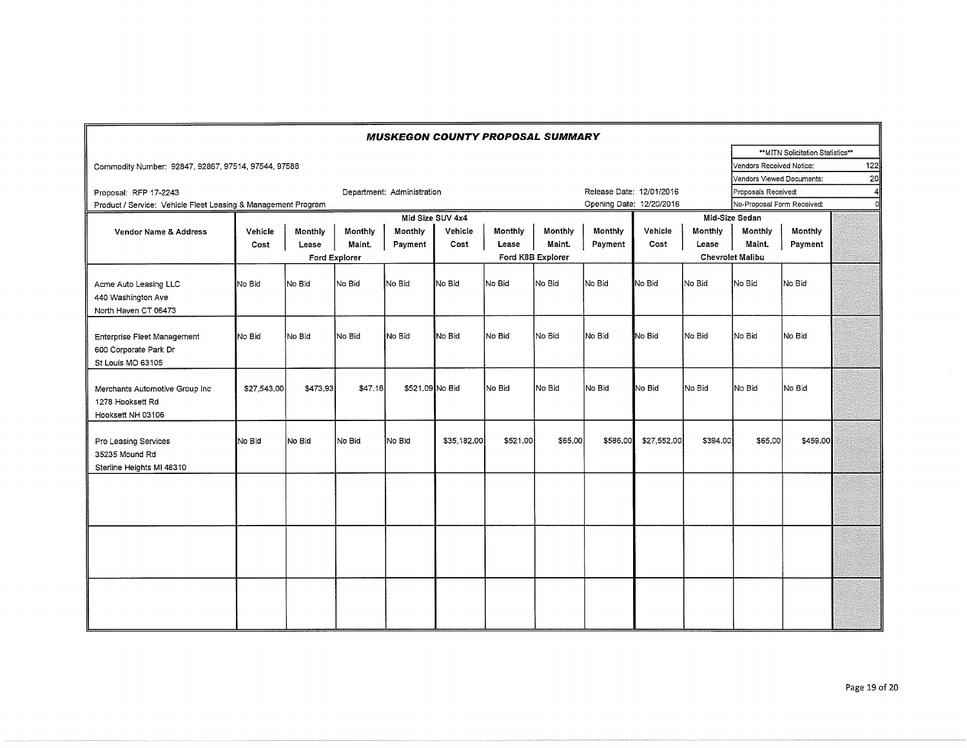| <b>MUSKEGON COUNTY PROPOSAL SUMMARY</b>                                   |             |          |               |                            |                  |          |                   |                          |             |          |                            |                                   |                 |
|---------------------------------------------------------------------------|-------------|----------|---------------|----------------------------|------------------|----------|-------------------|--------------------------|-------------|----------|----------------------------|-----------------------------------|-----------------|
|                                                                           |             |          |               |                            |                  |          |                   |                          |             |          |                            | ** MITN Solicitation Statistics** |                 |
| Commodity Number: 92847, 92867, 97514, 97544, 97588                       |             |          |               |                            |                  |          |                   |                          |             |          | Vendors Received Notice:   |                                   | 122             |
|                                                                           |             |          |               |                            |                  |          |                   |                          |             |          | Vendors Viewed Documents:  |                                   | 20 <sub>l</sub> |
| Proposal: RFP 17-2243                                                     |             |          |               | Department: Administration |                  |          |                   | Release Date: 12/01/2016 |             |          | Proposals Received:        |                                   | 4               |
| Product / Service: Vehicle Fleet Leasing & Management Program             |             |          |               |                            |                  |          |                   | Opening Date: 12/20/2016 |             |          | No-Proposal Form Received: |                                   | n               |
|                                                                           |             |          |               |                            | Mid Size SUV 4x4 |          |                   |                          |             |          | Mid-Size Sedan             |                                   |                 |
| <b>Vendor Name &amp; Address</b>                                          | Vehicle     | Monthly  | Monthly       | Monthly                    | Vehicle          | Monthly  | Monthly           | Monthly                  | Vehicle     | Monthly  | Monthly                    | Monthly                           |                 |
|                                                                           | Cost        | Lease    | Maint.        | Payment                    | Cost             | Lease    | Maint.            | Payment                  | Cost        | Lease    | Maint.                     | Payment                           |                 |
|                                                                           |             |          | Ford Explorer |                            |                  |          | Ford K8B Explorer |                          |             |          | <b>Chevrolet Malibu</b>    |                                   |                 |
| Acme Auto Leasing LLC<br>440 Washington Ave<br>North Haven CT 06473       | No Bid      | No Bid   | lNo Bid       | No Bid                     | No Bid           | lNo Bid  | No Bid            | INo Bid                  | No Bid      | No Bid   | No Bid                     | No Bid                            |                 |
| Enterprise Fleet Management<br>600 Corporate Park Dr<br>St Louis MO 63105 | No Bid      | No Bid   | No Bid        | No Bid                     | No Bid           | No Bid   | No Bid            | No Bid                   | No Bid      | No Bid   | No Bid                     | No Bid                            |                 |
| Merchants Automotive Group Inc<br>1278 Hooksett Rd<br>Hooksett NH 03106   | \$27,543.00 | \$473,93 | \$47.16       | \$521,09 No Bid            |                  | No Bid   | INo Bid           | No Bid                   | No Bid      | No Bid   | No Bid                     | No Bid                            |                 |
| Pro Leasing Services<br>35235 Mound Rd<br>Sterline Heights MI 48310       | No Bid      | No Bid   | No Bid        | No Bid                     | \$35,182.00      | \$521.00 | \$65,00           | \$586,00                 | \$27,552.00 | \$394.00 | \$65,00                    | \$459.00                          |                 |
|                                                                           |             |          |               |                            |                  |          |                   |                          |             |          |                            |                                   |                 |
|                                                                           |             |          |               |                            |                  |          |                   |                          |             |          |                            |                                   |                 |
|                                                                           |             |          |               |                            |                  |          |                   |                          |             |          |                            |                                   |                 |